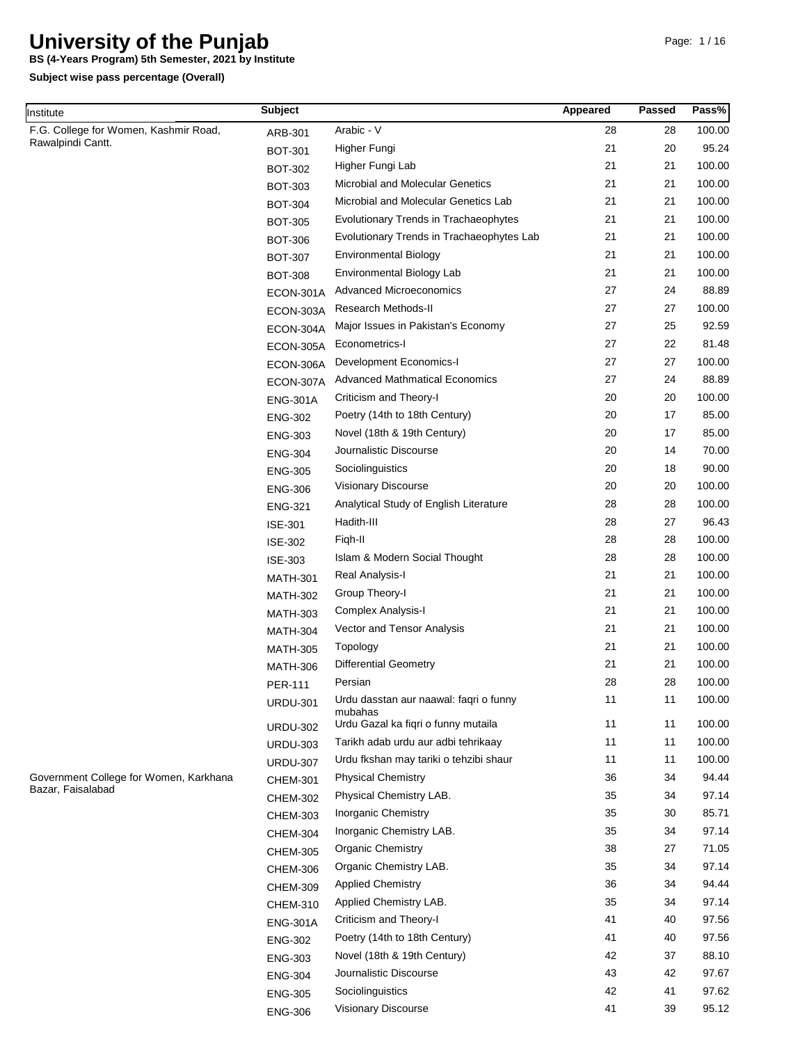**BS (4-Years Program) 5th Semester, 2021 by Institute**

| Institute                              | <b>Subject</b>  |                                                | Appeared | <b>Passed</b> | Pass%  |
|----------------------------------------|-----------------|------------------------------------------------|----------|---------------|--------|
| F.G. College for Women, Kashmir Road,  | ARB-301         | Arabic - V                                     | 28       | 28            | 100.00 |
| Rawalpindi Cantt.                      | <b>BOT-301</b>  | Higher Fungi                                   | 21       | 20            | 95.24  |
|                                        | <b>BOT-302</b>  | Higher Fungi Lab                               | 21       | 21            | 100.00 |
|                                        | <b>BOT-303</b>  | Microbial and Molecular Genetics               | 21       | 21            | 100.00 |
|                                        | <b>BOT-304</b>  | Microbial and Molecular Genetics Lab           | 21       | 21            | 100.00 |
|                                        | <b>BOT-305</b>  | Evolutionary Trends in Trachaeophytes          | 21       | 21            | 100.00 |
|                                        | <b>BOT-306</b>  | Evolutionary Trends in Trachaeophytes Lab      | 21       | 21            | 100.00 |
|                                        | <b>BOT-307</b>  | <b>Environmental Biology</b>                   | 21       | 21            | 100.00 |
|                                        | <b>BOT-308</b>  | Environmental Biology Lab                      | 21       | 21            | 100.00 |
|                                        | ECON-301A       | <b>Advanced Microeconomics</b>                 | 27       | 24            | 88.89  |
|                                        | ECON-303A       | Research Methods-II                            | 27       | 27            | 100.00 |
|                                        | ECON-304A       | Major Issues in Pakistan's Economy             | 27       | 25            | 92.59  |
|                                        | ECON-305A       | Econometrics-I                                 | 27       | 22            | 81.48  |
|                                        | ECON-306A       | Development Economics-I                        | 27       | 27            | 100.00 |
|                                        | ECON-307A       | <b>Advanced Mathmatical Economics</b>          | 27       | 24            | 88.89  |
|                                        | <b>ENG-301A</b> | Criticism and Theory-I                         | 20       | 20            | 100.00 |
|                                        | <b>ENG-302</b>  | Poetry (14th to 18th Century)                  | 20       | 17            | 85.00  |
|                                        | <b>ENG-303</b>  | Novel (18th & 19th Century)                    | 20       | 17            | 85.00  |
|                                        | <b>ENG-304</b>  | Journalistic Discourse                         | 20       | 14            | 70.00  |
|                                        | <b>ENG-305</b>  | Sociolinguistics                               | 20       | 18            | 90.00  |
|                                        | <b>ENG-306</b>  | Visionary Discourse                            | 20       | 20            | 100.00 |
|                                        | <b>ENG-321</b>  | Analytical Study of English Literature         | 28       | 28            | 100.00 |
|                                        | <b>ISE-301</b>  | Hadith-III                                     | 28       | 27            | 96.43  |
|                                        | <b>ISE-302</b>  | Figh-II                                        | 28       | 28            | 100.00 |
|                                        | <b>ISE-303</b>  | Islam & Modern Social Thought                  | 28       | 28            | 100.00 |
|                                        | <b>MATH-301</b> | Real Analysis-I                                | 21       | 21            | 100.00 |
|                                        | <b>MATH-302</b> | Group Theory-I                                 | 21       | 21            | 100.00 |
|                                        | <b>MATH-303</b> | Complex Analysis-I                             | 21       | 21            | 100.00 |
|                                        | <b>MATH-304</b> | Vector and Tensor Analysis                     | 21       | 21            | 100.00 |
|                                        | <b>MATH-305</b> | Topology                                       | 21       | 21            | 100.00 |
|                                        | <b>MATH-306</b> | <b>Differential Geometry</b>                   | 21       | 21            | 100.00 |
|                                        | PER-111         | Persian                                        | 28       | 28            | 100.00 |
|                                        | <b>URDU-301</b> | Urdu dasstan aur naawal: faqri o funny         | 11       | 11            | 100.00 |
|                                        | <b>URDU-302</b> | mubahas<br>Urdu Gazal ka fiqri o funny mutaila | 11       | 11            | 100.00 |
|                                        | <b>URDU-303</b> | Tarikh adab urdu aur adbi tehrikaay            | 11       | 11            | 100.00 |
|                                        | <b>URDU-307</b> | Urdu fkshan may tariki o tehzibi shaur         | 11       | 11            | 100.00 |
| Government College for Women, Karkhana | <b>CHEM-301</b> | <b>Physical Chemistry</b>                      | 36       | 34            | 94.44  |
| Bazar, Faisalabad                      | <b>CHEM-302</b> | Physical Chemistry LAB.                        | 35       | 34            | 97.14  |
|                                        | <b>CHEM-303</b> | Inorganic Chemistry                            | 35       | 30            | 85.71  |
|                                        | <b>CHEM-304</b> | Inorganic Chemistry LAB.                       | 35       | 34            | 97.14  |
|                                        | <b>CHEM-305</b> | Organic Chemistry                              | 38       | 27            | 71.05  |
|                                        | <b>CHEM-306</b> | Organic Chemistry LAB.                         | 35       | 34            | 97.14  |
|                                        | <b>CHEM-309</b> | <b>Applied Chemistry</b>                       | 36       | 34            | 94.44  |
|                                        | <b>CHEM-310</b> | Applied Chemistry LAB.                         | 35       | 34            | 97.14  |
|                                        | <b>ENG-301A</b> | Criticism and Theory-I                         | 41       | 40            | 97.56  |
|                                        | <b>ENG-302</b>  | Poetry (14th to 18th Century)                  | 41       | 40            | 97.56  |
|                                        | <b>ENG-303</b>  | Novel (18th & 19th Century)                    | 42       | 37            | 88.10  |
|                                        | <b>ENG-304</b>  | Journalistic Discourse                         | 43       | 42            | 97.67  |
|                                        | <b>ENG-305</b>  | Sociolinguistics                               | 42       | 41            | 97.62  |
|                                        | <b>ENG-306</b>  | Visionary Discourse                            | 41       | 39            | 95.12  |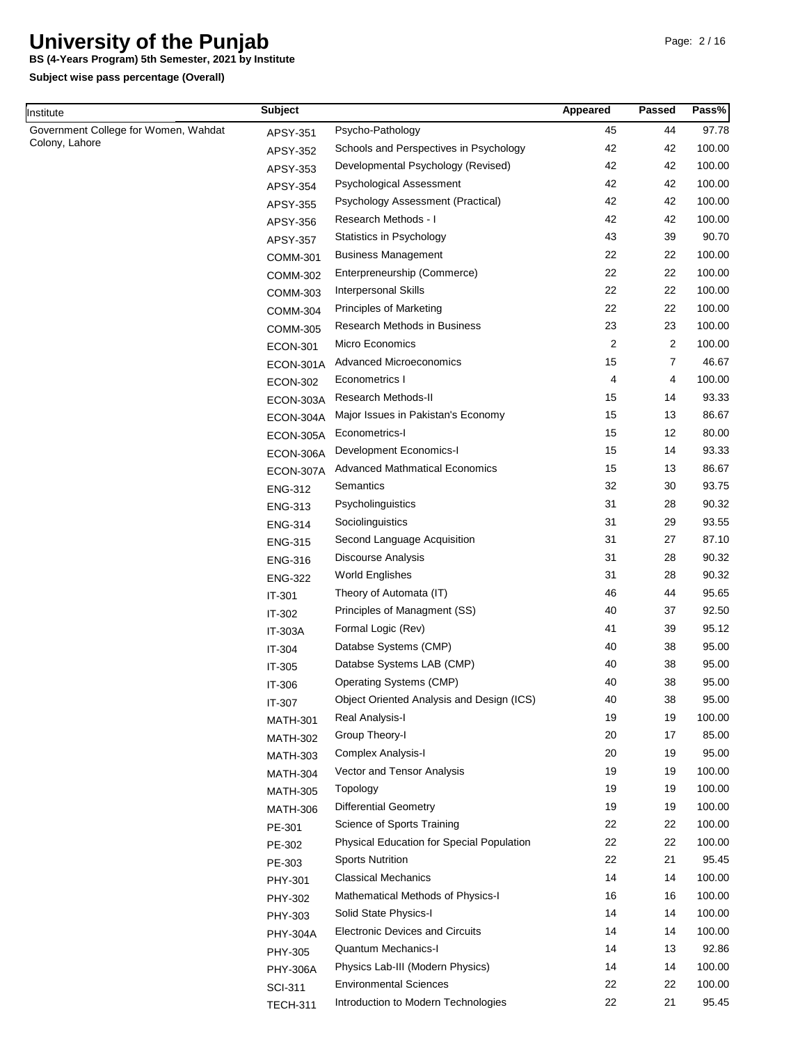**BS (4-Years Program) 5th Semester, 2021 by Institute**

| Institute                            | <b>Subject</b>  |                                           | Appeared | Passed   | Pass%           |
|--------------------------------------|-----------------|-------------------------------------------|----------|----------|-----------------|
| Government College for Women, Wahdat | APSY-351        | Psycho-Pathology                          | 45       | 44       | 97.78           |
| Colony, Lahore                       | APSY-352        | Schools and Perspectives in Psychology    | 42       | 42       | 100.00          |
|                                      | APSY-353        | Developmental Psychology (Revised)        | 42       | 42       | 100.00          |
|                                      | APSY-354        | Psychological Assessment                  | 42       | 42       | 100.00          |
|                                      | APSY-355        | Psychology Assessment (Practical)         | 42       | 42       | 100.00          |
|                                      | APSY-356        | Research Methods - I                      | 42       | 42       | 100.00          |
|                                      | APSY-357        | Statistics in Psychology                  | 43       | 39       | 90.70           |
|                                      | <b>COMM-301</b> | <b>Business Management</b>                | 22       | 22       | 100.00          |
|                                      | COMM-302        | Enterpreneurship (Commerce)               | 22       | 22       | 100.00          |
|                                      | <b>COMM-303</b> | <b>Interpersonal Skills</b>               | 22       | 22       | 100.00          |
|                                      | <b>COMM-304</b> | <b>Principles of Marketing</b>            | 22       | 22       | 100.00          |
|                                      | <b>COMM-305</b> | Research Methods in Business              | 23       | 23       | 100.00          |
|                                      | <b>ECON-301</b> | Micro Economics                           | 2        | 2        | 100.00          |
|                                      | ECON-301A       | <b>Advanced Microeconomics</b>            | 15       | 7        | 46.67           |
|                                      | <b>ECON-302</b> | Econometrics I                            | 4        | 4        | 100.00          |
|                                      | ECON-303A       | Research Methods-II                       | 15       | 14       | 93.33           |
|                                      | ECON-304A       | Major Issues in Pakistan's Economy        | 15       | 13       | 86.67           |
|                                      | ECON-305A       | Econometrics-I                            | 15       | 12       | 80.00           |
|                                      | ECON-306A       | Development Economics-I                   | 15       | 14       | 93.33           |
|                                      | ECON-307A       | <b>Advanced Mathmatical Economics</b>     | 15       | 13       | 86.67           |
|                                      | <b>ENG-312</b>  | Semantics                                 | 32       | 30       | 93.75           |
|                                      | <b>ENG-313</b>  | Psycholinguistics                         | 31       | 28       | 90.32           |
|                                      | <b>ENG-314</b>  | Sociolinguistics                          | 31       | 29       | 93.55           |
|                                      | <b>ENG-315</b>  | Second Language Acquisition               | 31       | 27       | 87.10           |
|                                      | <b>ENG-316</b>  | <b>Discourse Analysis</b>                 | 31       | 28       | 90.32           |
|                                      | <b>ENG-322</b>  | <b>World Englishes</b>                    | 31       | 28       | 90.32           |
|                                      |                 | Theory of Automata (IT)                   | 46       | 44       | 95.65           |
|                                      | IT-301          | Principles of Managment (SS)              | 40       | 37       | 92.50           |
|                                      | IT-302          | Formal Logic (Rev)                        | 41       | 39       | 95.12           |
|                                      | <b>IT-303A</b>  | Databse Systems (CMP)                     | 40       | 38       | 95.00           |
|                                      | IT-304          | Databse Systems LAB (CMP)                 | 40       | 38       | 95.00           |
|                                      | IT-305          | Operating Systems (CMP)                   | 40       | 38       | 95.00           |
|                                      | IT-306          | Object Oriented Analysis and Design (ICS) | 40       | 38       | 95.00           |
|                                      | IT-307          | Real Analysis-I                           | 19       | 19       | 100.00          |
|                                      | <b>MATH-301</b> | Group Theory-I                            | 20       | 17       | 85.00           |
|                                      | <b>MATH-302</b> | Complex Analysis-I                        | 20       | 19       | 95.00           |
|                                      | <b>MATH-303</b> | Vector and Tensor Analysis                | 19       | 19       | 100.00          |
|                                      | <b>MATH-304</b> | Topology                                  | 19       | 19       | 100.00          |
|                                      | <b>MATH-305</b> | <b>Differential Geometry</b>              | 19       | 19       | 100.00          |
|                                      | <b>MATH-306</b> |                                           | 22       |          | 100.00          |
|                                      | PE-301          | Science of Sports Training                |          | 22       |                 |
|                                      | PE-302          | Physical Education for Special Population | 22<br>22 | 22<br>21 | 100.00<br>95.45 |
|                                      | PE-303          | <b>Sports Nutrition</b>                   |          |          |                 |
|                                      | PHY-301         | <b>Classical Mechanics</b>                | 14       | 14       | 100.00          |
|                                      | PHY-302         | Mathematical Methods of Physics-I         | 16       | 16       | 100.00          |
|                                      | PHY-303         | Solid State Physics-I                     | 14       | 14       | 100.00          |
|                                      | <b>PHY-304A</b> | <b>Electronic Devices and Circuits</b>    | 14       | 14       | 100.00          |
|                                      | PHY-305         | <b>Quantum Mechanics-I</b>                | 14       | 13       | 92.86           |
|                                      | <b>PHY-306A</b> | Physics Lab-III (Modern Physics)          | 14       | 14       | 100.00          |
|                                      | <b>SCI-311</b>  | <b>Environmental Sciences</b>             | 22       | 22       | 100.00          |
|                                      | <b>TECH-311</b> | Introduction to Modern Technologies       | 22       | 21       | 95.45           |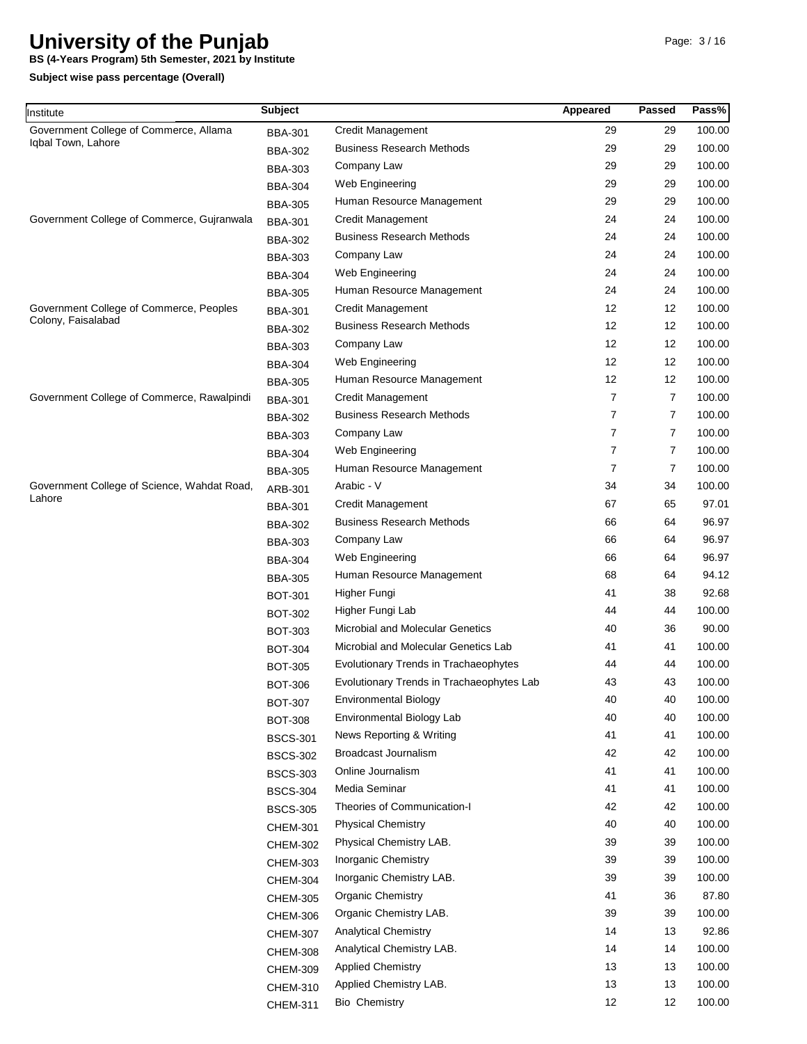**BS (4-Years Program) 5th Semester, 2021 by Institute**

| Institute                                   | <b>Subject</b>  |                                           | Appeared | <b>Passed</b>  | Pass%  |
|---------------------------------------------|-----------------|-------------------------------------------|----------|----------------|--------|
| Government College of Commerce, Allama      | <b>BBA-301</b>  | Credit Management                         | 29       | 29             | 100.00 |
| Iqbal Town, Lahore                          | <b>BBA-302</b>  | <b>Business Research Methods</b>          | 29       | 29             | 100.00 |
|                                             | <b>BBA-303</b>  | Company Law                               | 29       | 29             | 100.00 |
|                                             | <b>BBA-304</b>  | Web Engineering                           | 29       | 29             | 100.00 |
|                                             | <b>BBA-305</b>  | Human Resource Management                 | 29       | 29             | 100.00 |
| Government College of Commerce, Gujranwala  | <b>BBA-301</b>  | <b>Credit Management</b>                  | 24       | 24             | 100.00 |
|                                             | <b>BBA-302</b>  | <b>Business Research Methods</b>          | 24       | 24             | 100.00 |
|                                             | <b>BBA-303</b>  | Company Law                               | 24       | 24             | 100.00 |
|                                             | <b>BBA-304</b>  | Web Engineering                           | 24       | 24             | 100.00 |
|                                             | <b>BBA-305</b>  | Human Resource Management                 | 24       | 24             | 100.00 |
| Government College of Commerce, Peoples     | <b>BBA-301</b>  | <b>Credit Management</b>                  | 12       | 12             | 100.00 |
| Colony, Faisalabad                          | <b>BBA-302</b>  | <b>Business Research Methods</b>          | 12       | 12             | 100.00 |
|                                             | <b>BBA-303</b>  | Company Law                               | 12       | 12             | 100.00 |
|                                             | <b>BBA-304</b>  | Web Engineering                           | 12       | 12             | 100.00 |
|                                             | <b>BBA-305</b>  | Human Resource Management                 | 12       | 12             | 100.00 |
| Government College of Commerce, Rawalpindi  | <b>BBA-301</b>  | <b>Credit Management</b>                  | 7        | 7              | 100.00 |
|                                             | <b>BBA-302</b>  | <b>Business Research Methods</b>          | 7        | $\overline{7}$ | 100.00 |
|                                             | <b>BBA-303</b>  | Company Law                               | 7        | 7              | 100.00 |
|                                             | <b>BBA-304</b>  | Web Engineering                           | 7        | $\overline{7}$ | 100.00 |
|                                             | <b>BBA-305</b>  | Human Resource Management                 | 7        | $\overline{7}$ | 100.00 |
| Government College of Science, Wahdat Road, | ARB-301         | Arabic - V                                | 34       | 34             | 100.00 |
| Lahore                                      |                 | <b>Credit Management</b>                  | 67       | 65             | 97.01  |
|                                             | <b>BBA-301</b>  | <b>Business Research Methods</b>          | 66       | 64             | 96.97  |
|                                             | <b>BBA-302</b>  | Company Law                               | 66       | 64             | 96.97  |
|                                             | <b>BBA-303</b>  | Web Engineering                           | 66       | 64             | 96.97  |
|                                             | <b>BBA-304</b>  | Human Resource Management                 | 68       | 64             | 94.12  |
|                                             | <b>BBA-305</b>  | Higher Fungi                              | 41       | 38             | 92.68  |
|                                             | <b>BOT-301</b>  | Higher Fungi Lab                          | 44       | 44             | 100.00 |
|                                             | <b>BOT-302</b>  | <b>Microbial and Molecular Genetics</b>   | 40       | 36             | 90.00  |
|                                             | <b>BOT-303</b>  | Microbial and Molecular Genetics Lab      | 41       | 41             | 100.00 |
|                                             | <b>BOT-304</b>  |                                           |          |                | 100.00 |
|                                             | <b>BOT-305</b>  | Evolutionary Trends in Trachaeophytes     | 44       | 44             |        |
|                                             | <b>BOT-306</b>  | Evolutionary Trends in Trachaeophytes Lab | 43       | 43             | 100.00 |
|                                             | BOT-307         | <b>Environmental Biology</b>              | 40       | 40             | 100.00 |
|                                             | <b>BOT-308</b>  | Environmental Biology Lab                 | 40       | 40             | 100.00 |
|                                             | <b>BSCS-301</b> | News Reporting & Writing                  | 41       | 41             | 100.00 |
|                                             | <b>BSCS-302</b> | Broadcast Journalism                      | 42       | 42             | 100.00 |
|                                             | <b>BSCS-303</b> | Online Journalism                         | 41       | 41             | 100.00 |
|                                             | <b>BSCS-304</b> | Media Seminar                             | 41       | 41             | 100.00 |
|                                             | <b>BSCS-305</b> | Theories of Communication-I               | 42       | 42             | 100.00 |
|                                             | <b>CHEM-301</b> | <b>Physical Chemistry</b>                 | 40       | 40             | 100.00 |
|                                             | <b>CHEM-302</b> | Physical Chemistry LAB.                   | 39       | 39             | 100.00 |
|                                             | <b>CHEM-303</b> | <b>Inorganic Chemistry</b>                | 39       | 39             | 100.00 |
|                                             | <b>CHEM-304</b> | Inorganic Chemistry LAB.                  | 39       | 39             | 100.00 |
|                                             | <b>CHEM-305</b> | Organic Chemistry                         | 41       | 36             | 87.80  |
|                                             | <b>CHEM-306</b> | Organic Chemistry LAB.                    | 39       | 39             | 100.00 |
|                                             | <b>CHEM-307</b> | <b>Analytical Chemistry</b>               | 14       | 13             | 92.86  |
|                                             | <b>CHEM-308</b> | Analytical Chemistry LAB.                 | 14       | 14             | 100.00 |
|                                             | <b>CHEM-309</b> | <b>Applied Chemistry</b>                  | 13       | 13             | 100.00 |
|                                             | CHEM-310        | Applied Chemistry LAB.                    | 13       | 13             | 100.00 |
|                                             | <b>CHEM-311</b> | <b>Bio Chemistry</b>                      | 12       | 12             | 100.00 |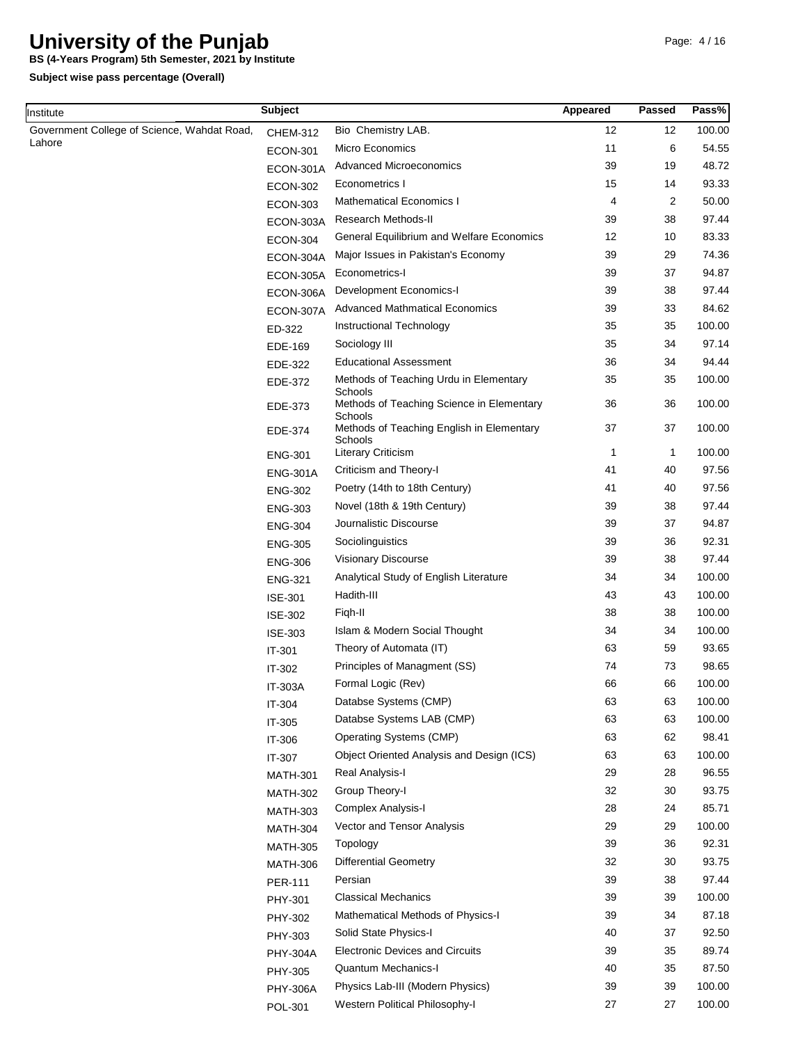**BS (4-Years Program) 5th Semester, 2021 by Institute**

| Institute                                   | <b>Subject</b>  |                                                      | Appeared | Passed | Pass%  |
|---------------------------------------------|-----------------|------------------------------------------------------|----------|--------|--------|
| Government College of Science, Wahdat Road, | <b>CHEM-312</b> | Bio Chemistry LAB.                                   | 12       | 12     | 100.00 |
| Lahore                                      | <b>ECON-301</b> | <b>Micro Economics</b>                               | 11       | 6      | 54.55  |
|                                             | ECON-301A       | <b>Advanced Microeconomics</b>                       | 39       | 19     | 48.72  |
|                                             | <b>ECON-302</b> | Econometrics I                                       | 15       | 14     | 93.33  |
|                                             | <b>ECON-303</b> | <b>Mathematical Economics I</b>                      | 4        | 2      | 50.00  |
|                                             | ECON-303A       | Research Methods-II                                  | 39       | 38     | 97.44  |
|                                             | <b>ECON-304</b> | General Equilibrium and Welfare Economics            | 12       | 10     | 83.33  |
|                                             | ECON-304A       | Major Issues in Pakistan's Economy                   | 39       | 29     | 74.36  |
|                                             | ECON-305A       | Econometrics-I                                       | 39       | 37     | 94.87  |
|                                             | ECON-306A       | Development Economics-I                              | 39       | 38     | 97.44  |
|                                             | ECON-307A       | <b>Advanced Mathmatical Economics</b>                | 39       | 33     | 84.62  |
|                                             | ED-322          | Instructional Technology                             | 35       | 35     | 100.00 |
|                                             | EDE-169         | Sociology III                                        | 35       | 34     | 97.14  |
|                                             | EDE-322         | <b>Educational Assessment</b>                        | 36       | 34     | 94.44  |
|                                             | EDE-372         | Methods of Teaching Urdu in Elementary<br>Schools    | 35       | 35     | 100.00 |
|                                             | EDE-373         | Methods of Teaching Science in Elementary<br>Schools | 36       | 36     | 100.00 |
|                                             | EDE-374         | Methods of Teaching English in Elementary<br>Schools | 37       | 37     | 100.00 |
|                                             | <b>ENG-301</b>  | <b>Literary Criticism</b>                            | 1        | 1      | 100.00 |
|                                             | <b>ENG-301A</b> | Criticism and Theory-I                               | 41       | 40     | 97.56  |
|                                             | <b>ENG-302</b>  | Poetry (14th to 18th Century)                        | 41       | 40     | 97.56  |
|                                             | <b>ENG-303</b>  | Novel (18th & 19th Century)                          | 39       | 38     | 97.44  |
|                                             | <b>ENG-304</b>  | Journalistic Discourse                               | 39       | 37     | 94.87  |
|                                             | <b>ENG-305</b>  | Sociolinguistics                                     | 39       | 36     | 92.31  |
|                                             | <b>ENG-306</b>  | Visionary Discourse                                  | 39       | 38     | 97.44  |
|                                             | <b>ENG-321</b>  | Analytical Study of English Literature               | 34       | 34     | 100.00 |
|                                             | <b>ISE-301</b>  | Hadith-III                                           | 43       | 43     | 100.00 |
|                                             | <b>ISE-302</b>  | Figh-II                                              | 38       | 38     | 100.00 |
|                                             | <b>ISE-303</b>  | Islam & Modern Social Thought                        | 34       | 34     | 100.00 |
|                                             | IT-301          | Theory of Automata (IT)                              | 63       | 59     | 93.65  |
|                                             | IT-302          | Principles of Managment (SS)                         | 74       | 73     | 98.65  |
|                                             | IT-303A         | Formal Logic (Rev)                                   | 66       | 66     | 100.00 |
|                                             | IT-304          | Databse Systems (CMP)                                | 63       | 63     | 100.00 |
|                                             | IT-305          | Databse Systems LAB (CMP)                            | 63       | 63     | 100.00 |
|                                             | IT-306          | Operating Systems (CMP)                              | 63       | 62     | 98.41  |
|                                             | IT-307          | Object Oriented Analysis and Design (ICS)            | 63       | 63     | 100.00 |
|                                             | <b>MATH-301</b> | Real Analysis-I                                      | 29       | 28     | 96.55  |
|                                             | <b>MATH-302</b> | Group Theory-I                                       | 32       | 30     | 93.75  |
|                                             | <b>MATH-303</b> | Complex Analysis-I                                   | 28       | 24     | 85.71  |
|                                             | <b>MATH-304</b> | Vector and Tensor Analysis                           | 29       | 29     | 100.00 |
|                                             | <b>MATH-305</b> | Topology                                             | 39       | 36     | 92.31  |
|                                             | <b>MATH-306</b> | <b>Differential Geometry</b>                         | 32       | 30     | 93.75  |
|                                             | <b>PER-111</b>  | Persian                                              | 39       | 38     | 97.44  |
|                                             | PHY-301         | <b>Classical Mechanics</b>                           | 39       | 39     | 100.00 |
|                                             | PHY-302         | Mathematical Methods of Physics-I                    | 39       | 34     | 87.18  |
|                                             | PHY-303         | Solid State Physics-I                                | 40       | 37     | 92.50  |
|                                             | <b>PHY-304A</b> | <b>Electronic Devices and Circuits</b>               | 39       | 35     | 89.74  |
|                                             | PHY-305         | Quantum Mechanics-I                                  | 40       | 35     | 87.50  |
|                                             | <b>PHY-306A</b> | Physics Lab-III (Modern Physics)                     | 39       | 39     | 100.00 |
|                                             | POL-301         | Western Political Philosophy-I                       | 27       | 27     | 100.00 |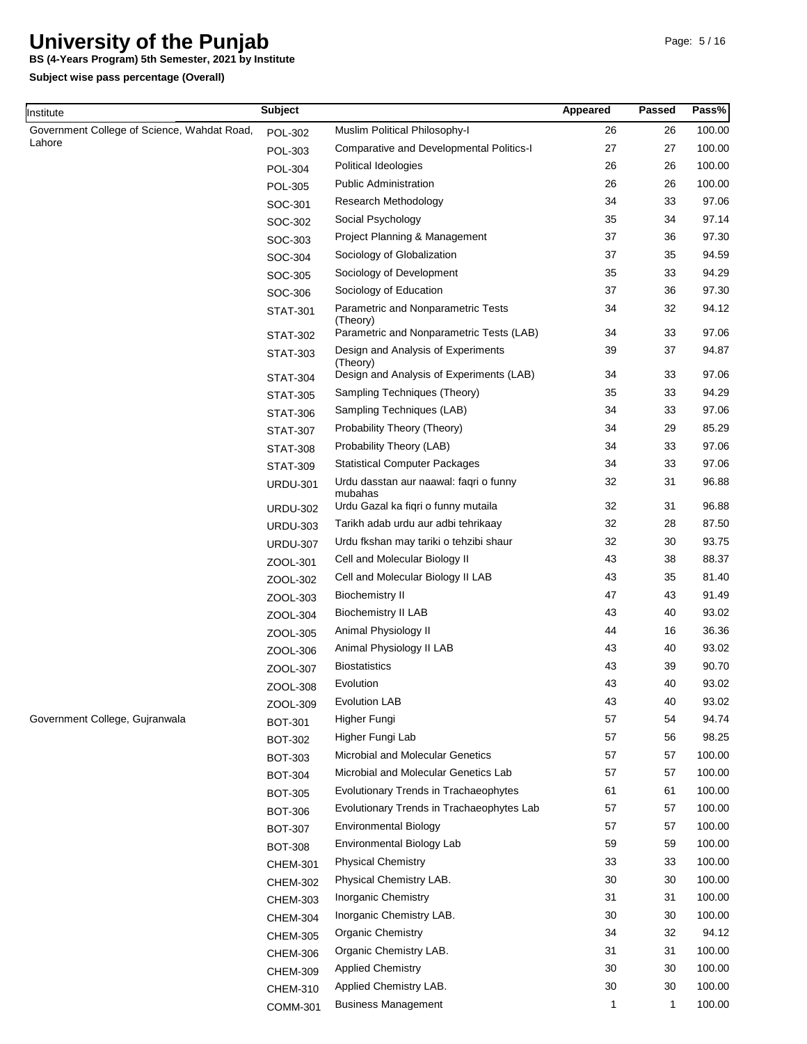**BS (4-Years Program) 5th Semester, 2021 by Institute**

| Institute                                   | <b>Subject</b>  |                                                                                          | Appeared     | <b>Passed</b> | Pass%          |
|---------------------------------------------|-----------------|------------------------------------------------------------------------------------------|--------------|---------------|----------------|
| Government College of Science, Wahdat Road, | <b>POL-302</b>  | Muslim Political Philosophy-I                                                            | 26           | 26            | 100.00         |
| Lahore                                      | POL-303         | Comparative and Developmental Politics-I                                                 | 27           | 27            | 100.00         |
|                                             | <b>POL-304</b>  | Political Ideologies                                                                     | 26           | 26            | 100.00         |
|                                             | <b>POL-305</b>  | <b>Public Administration</b>                                                             | 26           | 26            | 100.00         |
|                                             | SOC-301         | Research Methodology                                                                     | 34           | 33            | 97.06          |
|                                             | SOC-302         | Social Psychology                                                                        | 35           | 34            | 97.14          |
|                                             | SOC-303         | Project Planning & Management                                                            | 37           | 36            | 97.30          |
|                                             | SOC-304         | Sociology of Globalization                                                               | 37           | 35            | 94.59          |
|                                             | SOC-305         | Sociology of Development                                                                 | 35           | 33            | 94.29          |
|                                             | SOC-306         | Sociology of Education                                                                   | 37           | 36            | 97.30          |
|                                             | <b>STAT-301</b> | Parametric and Nonparametric Tests<br>(Theory)                                           | 34           | 32            | 94.12          |
|                                             | <b>STAT-302</b> | Parametric and Nonparametric Tests (LAB)                                                 | 34           | 33            | 97.06          |
|                                             | <b>STAT-303</b> | Design and Analysis of Experiments<br>(Theory)                                           | 39<br>34     | 37<br>33      | 94.87<br>97.06 |
|                                             | <b>STAT-304</b> | Design and Analysis of Experiments (LAB)                                                 |              |               |                |
|                                             | <b>STAT-305</b> | Sampling Techniques (Theory)                                                             | 35           | 33            | 94.29          |
|                                             | <b>STAT-306</b> | Sampling Techniques (LAB)                                                                | 34           | 33            | 97.06          |
|                                             | <b>STAT-307</b> | Probability Theory (Theory)                                                              | 34           | 29            | 85.29          |
|                                             | <b>STAT-308</b> | Probability Theory (LAB)                                                                 | 34           | 33            | 97.06          |
|                                             | <b>STAT-309</b> | <b>Statistical Computer Packages</b>                                                     | 34           | 33            | 97.06          |
|                                             | <b>URDU-301</b> | Urdu dasstan aur naawal: faqri o funny<br>mubahas<br>Urdu Gazal ka fiqri o funny mutaila | 32<br>32     | 31<br>31      | 96.88<br>96.88 |
|                                             | <b>URDU-302</b> | Tarikh adab urdu aur adbi tehrikaay                                                      | 32           | 28            | 87.50          |
|                                             | <b>URDU-303</b> | Urdu fkshan may tariki o tehzibi shaur                                                   | 32           | 30            | 93.75          |
|                                             | <b>URDU-307</b> | Cell and Molecular Biology II                                                            | 43           | 38            | 88.37          |
|                                             | ZOOL-301        | Cell and Molecular Biology II LAB                                                        | 43           | 35            | 81.40          |
|                                             | ZOOL-302        | <b>Biochemistry II</b>                                                                   | 47           | 43            | 91.49          |
|                                             | ZOOL-303        | <b>Biochemistry II LAB</b>                                                               | 43           | 40            | 93.02          |
|                                             | ZOOL-304        | Animal Physiology II                                                                     | 44           | 16            | 36.36          |
|                                             | ZOOL-305        | Animal Physiology II LAB                                                                 | 43           | 40            | 93.02          |
|                                             | ZOOL-306        | <b>Biostatistics</b>                                                                     | 43           | 39            | 90.70          |
|                                             | ZOOL-307        | Evolution                                                                                | 43           | 40            | 93.02          |
|                                             | ZOOL-308        | <b>Evolution LAB</b>                                                                     | 43           | 40            | 93.02          |
| Government College, Gujranwala              | ZOOL-309        | Higher Fungi                                                                             | 57           | 54            | 94.74          |
|                                             | <b>BOT-301</b>  | Higher Fungi Lab                                                                         | 57           | 56            | 98.25          |
|                                             | <b>BOT-302</b>  | <b>Microbial and Molecular Genetics</b>                                                  | 57           | 57            | 100.00         |
|                                             | <b>BOT-303</b>  | Microbial and Molecular Genetics Lab                                                     | 57           | 57            | 100.00         |
|                                             | <b>BOT-304</b>  | Evolutionary Trends in Trachaeophytes                                                    | 61           | 61            | 100.00         |
|                                             | <b>BOT-305</b>  | Evolutionary Trends in Trachaeophytes Lab                                                | 57           | 57            | 100.00         |
|                                             | <b>BOT-306</b>  | <b>Environmental Biology</b>                                                             | 57           | 57            | 100.00         |
|                                             | <b>BOT-307</b>  | Environmental Biology Lab                                                                | 59           | 59            | 100.00         |
|                                             | <b>BOT-308</b>  | <b>Physical Chemistry</b>                                                                | 33           | 33            | 100.00         |
|                                             | <b>CHEM-301</b> | Physical Chemistry LAB.                                                                  | 30           | 30            | 100.00         |
|                                             | <b>CHEM-302</b> | Inorganic Chemistry                                                                      | 31           | 31            | 100.00         |
|                                             | <b>CHEM-303</b> | Inorganic Chemistry LAB.                                                                 | 30           | 30            | 100.00         |
|                                             | <b>CHEM-304</b> | <b>Organic Chemistry</b>                                                                 | 34           | 32            | 94.12          |
|                                             | <b>CHEM-305</b> | Organic Chemistry LAB.                                                                   | 31           | 31            | 100.00         |
|                                             | <b>CHEM-306</b> | <b>Applied Chemistry</b>                                                                 | 30           | 30            | 100.00         |
|                                             | <b>CHEM-309</b> | Applied Chemistry LAB.                                                                   | 30           | 30            | 100.00         |
|                                             | <b>CHEM-310</b> | <b>Business Management</b>                                                               | $\mathbf{1}$ | $\mathbf{1}$  | 100.00         |
|                                             | COMM-301        |                                                                                          |              |               |                |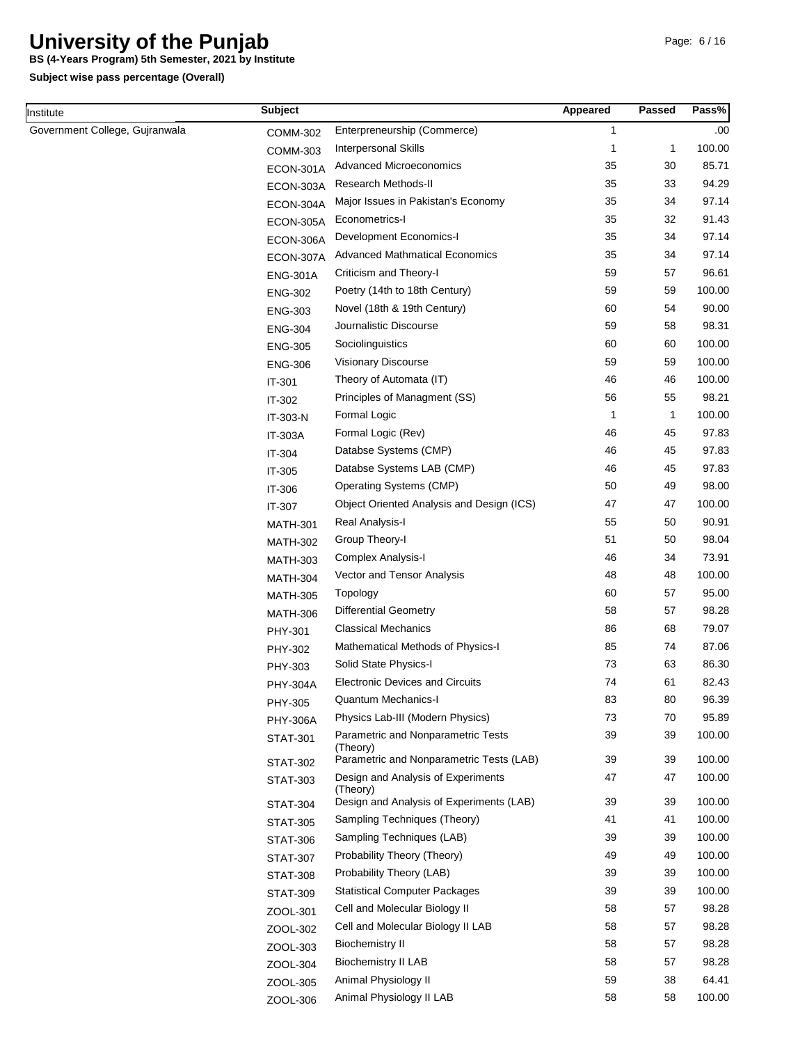**BS (4-Years Program) 5th Semester, 2021 by Institute**

**Subject wise pass percentage (Overall)**

Institute

| nstitute                       | <b>Subject</b>  |                                                | Appeared     | Passed       | Pass%  |
|--------------------------------|-----------------|------------------------------------------------|--------------|--------------|--------|
| Government College, Gujranwala | COMM-302        | Enterpreneurship (Commerce)                    | $\mathbf{1}$ |              | .00    |
|                                | COMM-303        | <b>Interpersonal Skills</b>                    | $\mathbf{1}$ | 1            | 100.00 |
|                                | ECON-301A       | Advanced Microeconomics                        | 35           | 30           | 85.71  |
|                                | ECON-303A       | Research Methods-II                            | 35           | 33           | 94.29  |
|                                | ECON-304A       | Major Issues in Pakistan's Economy             | 35           | 34           | 97.14  |
|                                | ECON-305A       | Econometrics-I                                 | 35           | 32           | 91.43  |
|                                | ECON-306A       | <b>Development Economics-I</b>                 | 35           | 34           | 97.14  |
|                                | ECON-307A       | <b>Advanced Mathmatical Economics</b>          | 35           | 34           | 97.14  |
|                                | <b>ENG-301A</b> | Criticism and Theory-I                         | 59           | 57           | 96.61  |
|                                | <b>ENG-302</b>  | Poetry (14th to 18th Century)                  | 59           | 59           | 100.00 |
|                                | <b>ENG-303</b>  | Novel (18th & 19th Century)                    | 60           | 54           | 90.00  |
|                                | <b>ENG-304</b>  | Journalistic Discourse                         | 59           | 58           | 98.31  |
|                                | <b>ENG-305</b>  | Sociolinguistics                               | 60           | 60           | 100.00 |
|                                | <b>ENG-306</b>  | Visionary Discourse                            | 59           | 59           | 100.00 |
|                                | IT-301          | Theory of Automata (IT)                        | 46           | 46           | 100.00 |
|                                | IT-302          | Principles of Managment (SS)                   | 56           | 55           | 98.21  |
|                                | IT-303-N        | Formal Logic                                   | $\mathbf{1}$ | $\mathbf{1}$ | 100.00 |
|                                | IT-303A         | Formal Logic (Rev)                             | 46           | 45           | 97.83  |
|                                | IT-304          | Databse Systems (CMP)                          | 46           | 45           | 97.83  |
|                                | IT-305          | Databse Systems LAB (CMP)                      | 46           | 45           | 97.83  |
|                                | IT-306          | Operating Systems (CMP)                        | 50           | 49           | 98.00  |
|                                | IT-307          | Object Oriented Analysis and Design (ICS)      | 47           | 47           | 100.00 |
|                                | <b>MATH-301</b> | Real Analysis-I                                | 55           | 50           | 90.91  |
|                                | <b>MATH-302</b> | Group Theory-I                                 | 51           | 50           | 98.04  |
|                                | <b>MATH-303</b> | Complex Analysis-I                             | 46           | 34           | 73.91  |
|                                | <b>MATH-304</b> | Vector and Tensor Analysis                     | 48           | 48           | 100.00 |
|                                | <b>MATH-305</b> | Topology                                       | 60           | 57           | 95.00  |
|                                | <b>MATH-306</b> | <b>Differential Geometry</b>                   | 58           | 57           | 98.28  |
|                                | PHY-301         | <b>Classical Mechanics</b>                     | 86           | 68           | 79.07  |
|                                | PHY-302         | Mathematical Methods of Physics-I              | 85           | 74           | 87.06  |
|                                | PHY-303         | Solid State Physics-I                          | 73           | 63           | 86.30  |
|                                | <b>PHY-304A</b> | <b>Electronic Devices and Circuits</b>         | 74           | 61           | 82.43  |
|                                | PHY-305         | Quantum Mechanics-I                            | 83           | 80           | 96.39  |
|                                | <b>PHY-306A</b> | Physics Lab-III (Modern Physics)               | 73           | 70           | 95.89  |
|                                | <b>STAT-301</b> | Parametric and Nonparametric Tests             | 39           | 39           | 100.00 |
|                                |                 | (Theory)                                       |              |              |        |
|                                | <b>STAT-302</b> | Parametric and Nonparametric Tests (LAB)       | 39           | 39           | 100.00 |
|                                | <b>STAT-303</b> | Design and Analysis of Experiments<br>(Theory) | 47           | 47           | 100.00 |
|                                | <b>STAT-304</b> | Design and Analysis of Experiments (LAB)       | 39           | 39           | 100.00 |
|                                | <b>STAT-305</b> | Sampling Techniques (Theory)                   | 41           | 41           | 100.00 |
|                                | <b>STAT-306</b> | Sampling Techniques (LAB)                      | 39           | 39           | 100.00 |
|                                | <b>STAT-307</b> | Probability Theory (Theory)                    | 49           | 49           | 100.00 |
|                                | <b>STAT-308</b> | Probability Theory (LAB)                       | 39           | 39           | 100.00 |
|                                | <b>STAT-309</b> | <b>Statistical Computer Packages</b>           | 39           | 39           | 100.00 |
|                                | ZOOL-301        | Cell and Molecular Biology II                  | 58           | 57           | 98.28  |
|                                | ZOOL-302        | Cell and Molecular Biology II LAB              | 58           | 57           | 98.28  |
|                                | ZOOL-303        | <b>Biochemistry II</b>                         | 58           | 57           | 98.28  |
|                                | ZOOL-304        | <b>Biochemistry II LAB</b>                     | 58           | 57           | 98.28  |
|                                | ZOOL-305        | Animal Physiology II                           | 59           | 38           | 64.41  |
|                                | ZOOL-306        | Animal Physiology II LAB                       | 58           | 58           | 100.00 |
|                                |                 |                                                |              |              |        |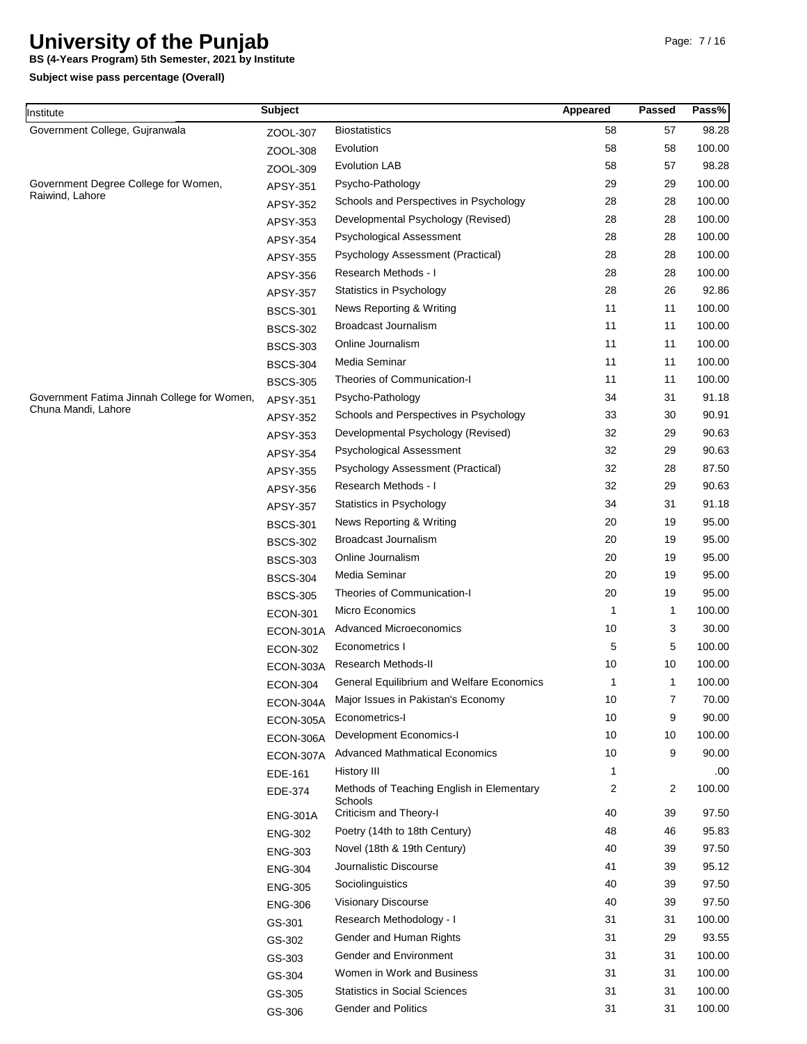**BS (4-Years Program) 5th Semester, 2021 by Institute**

| Institute                                   | <b>Subject</b>  |                                                      | Appeared     | <b>Passed</b> | Pass%  |
|---------------------------------------------|-----------------|------------------------------------------------------|--------------|---------------|--------|
| Government College, Gujranwala              | ZOOL-307        | <b>Biostatistics</b>                                 | 58           | 57            | 98.28  |
|                                             | ZOOL-308        | Evolution                                            | 58           | 58            | 100.00 |
|                                             | ZOOL-309        | <b>Evolution LAB</b>                                 | 58           | 57            | 98.28  |
| Government Degree College for Women,        | APSY-351        | Psycho-Pathology                                     | 29           | 29            | 100.00 |
| Raiwind, Lahore                             | APSY-352        | Schools and Perspectives in Psychology               | 28           | 28            | 100.00 |
|                                             | APSY-353        | Developmental Psychology (Revised)                   | 28           | 28            | 100.00 |
|                                             | APSY-354        | <b>Psychological Assessment</b>                      | 28           | 28            | 100.00 |
|                                             | APSY-355        | Psychology Assessment (Practical)                    | 28           | 28            | 100.00 |
|                                             | APSY-356        | Research Methods - I                                 | 28           | 28            | 100.00 |
|                                             | APSY-357        | Statistics in Psychology                             | 28           | 26            | 92.86  |
|                                             | <b>BSCS-301</b> | News Reporting & Writing                             | 11           | 11            | 100.00 |
|                                             | <b>BSCS-302</b> | Broadcast Journalism                                 | 11           | 11            | 100.00 |
|                                             | <b>BSCS-303</b> | Online Journalism                                    | 11           | 11            | 100.00 |
|                                             | <b>BSCS-304</b> | Media Seminar                                        | 11           | 11            | 100.00 |
|                                             | <b>BSCS-305</b> | Theories of Communication-I                          | 11           | 11            | 100.00 |
| Government Fatima Jinnah College for Women, | APSY-351        | Psycho-Pathology                                     | 34           | 31            | 91.18  |
| Chuna Mandi, Lahore                         | APSY-352        | Schools and Perspectives in Psychology               | 33           | 30            | 90.91  |
|                                             | APSY-353        | Developmental Psychology (Revised)                   | 32           | 29            | 90.63  |
|                                             | APSY-354        | Psychological Assessment                             | 32           | 29            | 90.63  |
|                                             | APSY-355        | Psychology Assessment (Practical)                    | 32           | 28            | 87.50  |
|                                             | APSY-356        | Research Methods - I                                 | 32           | 29            | 90.63  |
|                                             | APSY-357        | Statistics in Psychology                             | 34           | 31            | 91.18  |
|                                             | <b>BSCS-301</b> | News Reporting & Writing                             | 20           | 19            | 95.00  |
|                                             | <b>BSCS-302</b> | <b>Broadcast Journalism</b>                          | 20           | 19            | 95.00  |
|                                             | <b>BSCS-303</b> | Online Journalism                                    | 20           | 19            | 95.00  |
|                                             | <b>BSCS-304</b> | Media Seminar                                        | 20           | 19            | 95.00  |
|                                             | <b>BSCS-305</b> | Theories of Communication-I                          | 20           | 19            | 95.00  |
|                                             | <b>ECON-301</b> | Micro Economics                                      | $\mathbf{1}$ | 1             | 100.00 |
|                                             | ECON-301A       | <b>Advanced Microeconomics</b>                       | 10           | 3             | 30.00  |
|                                             | <b>ECON-302</b> | Econometrics I                                       | 5            | 5             | 100.00 |
|                                             | ECON-303A       | Research Methods-II                                  | 10           | 10            | 100.00 |
|                                             | ECON-304        | <b>General Equilibrium and Welfare Economics</b>     | $\mathbf{1}$ | 1             | 100.00 |
|                                             | ECON-304A       | Major Issues in Pakistan's Economy                   | 10           | 7             | 70.00  |
|                                             | ECON-305A       | Econometrics-I                                       | 10           | 9             | 90.00  |
|                                             | ECON-306A       | Development Economics-I                              | 10           | 10            | 100.00 |
|                                             | ECON-307A       | <b>Advanced Mathmatical Economics</b>                | 10           | 9             | 90.00  |
|                                             | EDE-161         | History III                                          | 1            |               | .00    |
|                                             | EDE-374         | Methods of Teaching English in Elementary<br>Schools | 2            | 2             | 100.00 |
|                                             | <b>ENG-301A</b> | Criticism and Theory-I                               | 40           | 39            | 97.50  |
|                                             | <b>ENG-302</b>  | Poetry (14th to 18th Century)                        | 48           | 46            | 95.83  |
|                                             | <b>ENG-303</b>  | Novel (18th & 19th Century)                          | 40           | 39            | 97.50  |
|                                             | <b>ENG-304</b>  | Journalistic Discourse                               | 41           | 39            | 95.12  |
|                                             | <b>ENG-305</b>  | Sociolinguistics                                     | 40           | 39            | 97.50  |
|                                             | <b>ENG-306</b>  | Visionary Discourse                                  | 40           | 39            | 97.50  |
|                                             | GS-301          | Research Methodology - I                             | 31           | 31            | 100.00 |
|                                             | GS-302          | Gender and Human Rights                              | 31           | 29            | 93.55  |
|                                             | GS-303          | Gender and Environment                               | 31           | 31            | 100.00 |
|                                             | GS-304          | Women in Work and Business                           | 31           | 31            | 100.00 |
|                                             | GS-305          | <b>Statistics in Social Sciences</b>                 | 31           | 31            | 100.00 |
|                                             | GS-306          | <b>Gender and Politics</b>                           | 31           | 31            | 100.00 |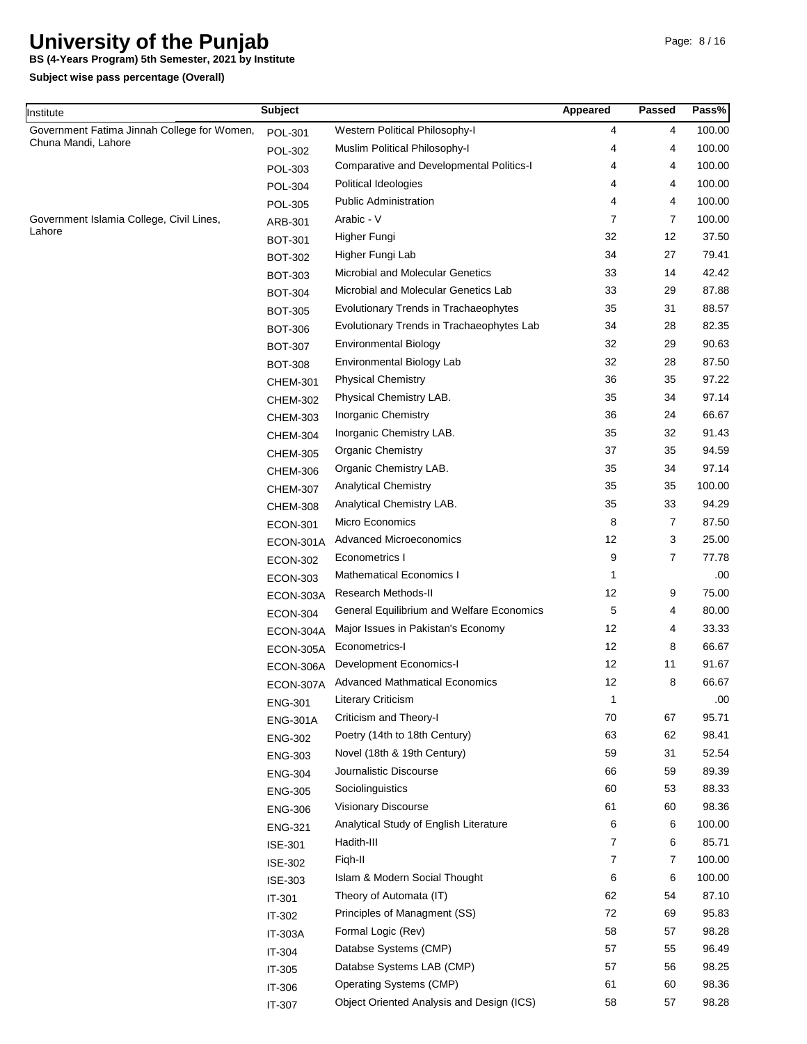**BS (4-Years Program) 5th Semester, 2021 by Institute**

| Institute                                   | <b>Subject</b>  |                                           | Appeared | Passed | Pass%  |
|---------------------------------------------|-----------------|-------------------------------------------|----------|--------|--------|
| Government Fatima Jinnah College for Women, | <b>POL-301</b>  | Western Political Philosophy-I            | 4        | 4      | 100.00 |
| Chuna Mandi, Lahore                         | <b>POL-302</b>  | Muslim Political Philosophy-I             | 4        | 4      | 100.00 |
|                                             | POL-303         | Comparative and Developmental Politics-I  | 4        | 4      | 100.00 |
|                                             | <b>POL-304</b>  | Political Ideologies                      | 4        | 4      | 100.00 |
|                                             | <b>POL-305</b>  | <b>Public Administration</b>              | 4        | 4      | 100.00 |
| Government Islamia College, Civil Lines,    | ARB-301         | Arabic - V                                | 7        | 7      | 100.00 |
| Lahore                                      | <b>BOT-301</b>  | Higher Fungi                              | 32       | 12     | 37.50  |
|                                             | <b>BOT-302</b>  | Higher Fungi Lab                          | 34       | 27     | 79.41  |
|                                             | <b>BOT-303</b>  | <b>Microbial and Molecular Genetics</b>   | 33       | 14     | 42.42  |
|                                             | <b>BOT-304</b>  | Microbial and Molecular Genetics Lab      | 33       | 29     | 87.88  |
|                                             | <b>BOT-305</b>  | Evolutionary Trends in Trachaeophytes     | 35       | 31     | 88.57  |
|                                             | <b>BOT-306</b>  | Evolutionary Trends in Trachaeophytes Lab | 34       | 28     | 82.35  |
|                                             | <b>BOT-307</b>  | <b>Environmental Biology</b>              | 32       | 29     | 90.63  |
|                                             | <b>BOT-308</b>  | Environmental Biology Lab                 | 32       | 28     | 87.50  |
|                                             | <b>CHEM-301</b> | <b>Physical Chemistry</b>                 | 36       | 35     | 97.22  |
|                                             | <b>CHEM-302</b> | Physical Chemistry LAB.                   | 35       | 34     | 97.14  |
|                                             | <b>CHEM-303</b> | Inorganic Chemistry                       | 36       | 24     | 66.67  |
|                                             | <b>CHEM-304</b> | Inorganic Chemistry LAB.                  | 35       | 32     | 91.43  |
|                                             | <b>CHEM-305</b> | <b>Organic Chemistry</b>                  | 37       | 35     | 94.59  |
|                                             | <b>CHEM-306</b> | Organic Chemistry LAB.                    | 35       | 34     | 97.14  |
|                                             | <b>CHEM-307</b> | <b>Analytical Chemistry</b>               | 35       | 35     | 100.00 |
|                                             | <b>CHEM-308</b> | Analytical Chemistry LAB.                 | 35       | 33     | 94.29  |
|                                             | <b>ECON-301</b> | Micro Economics                           | 8        | 7      | 87.50  |
|                                             | ECON-301A       | <b>Advanced Microeconomics</b>            | 12       | 3      | 25.00  |
|                                             | <b>ECON-302</b> | Econometrics I                            | 9        | 7      | 77.78  |
|                                             | <b>ECON-303</b> | <b>Mathematical Economics I</b>           | 1        |        | .00    |
|                                             | ECON-303A       | Research Methods-II                       | 12       | 9      | 75.00  |
|                                             | <b>ECON-304</b> | General Equilibrium and Welfare Economics | 5        | 4      | 80.00  |
|                                             | ECON-304A       | Major Issues in Pakistan's Economy        | 12       | 4      | 33.33  |
|                                             | ECON-305A       | Econometrics-I                            | 12       | 8      | 66.67  |
|                                             | ECON-306A       | <b>Development Economics-I</b>            | 12       | 11     | 91.67  |
|                                             | ECON-307A       | <b>Advanced Mathmatical Economics</b>     | 12       | 8      | 66.67  |
|                                             | <b>ENG-301</b>  | <b>Literary Criticism</b>                 | 1        |        | .00    |
|                                             | <b>ENG-301A</b> | Criticism and Theory-I                    | 70       | 67     | 95.71  |
|                                             | <b>ENG-302</b>  | Poetry (14th to 18th Century)             | 63       | 62     | 98.41  |
|                                             |                 | Novel (18th & 19th Century)               | 59       | 31     | 52.54  |
|                                             | <b>ENG-303</b>  | Journalistic Discourse                    | 66       | 59     | 89.39  |
|                                             | <b>ENG-304</b>  | Sociolinguistics                          | 60       | 53     | 88.33  |
|                                             | <b>ENG-305</b>  | Visionary Discourse                       | 61       | 60     | 98.36  |
|                                             | <b>ENG-306</b>  | Analytical Study of English Literature    | 6        | 6      | 100.00 |
|                                             | <b>ENG-321</b>  | Hadith-III                                | 7        | 6      | 85.71  |
|                                             | <b>ISE-301</b>  | Figh-II                                   | 7        | 7      | 100.00 |
|                                             | <b>ISE-302</b>  | Islam & Modern Social Thought             |          |        | 100.00 |
|                                             | <b>ISE-303</b>  |                                           | 6<br>62  | 6      | 87.10  |
|                                             | IT-301          | Theory of Automata (IT)                   |          | 54     |        |
|                                             | IT-302          | Principles of Managment (SS)              | 72       | 69     | 95.83  |
|                                             | <b>IT-303A</b>  | Formal Logic (Rev)                        | 58       | 57     | 98.28  |
|                                             | IT-304          | Databse Systems (CMP)                     | 57       | 55     | 96.49  |
|                                             | IT-305          | Databse Systems LAB (CMP)                 | 57       | 56     | 98.25  |
|                                             | IT-306          | Operating Systems (CMP)                   | 61       | 60     | 98.36  |
|                                             | IT-307          | Object Oriented Analysis and Design (ICS) | 58       | 57     | 98.28  |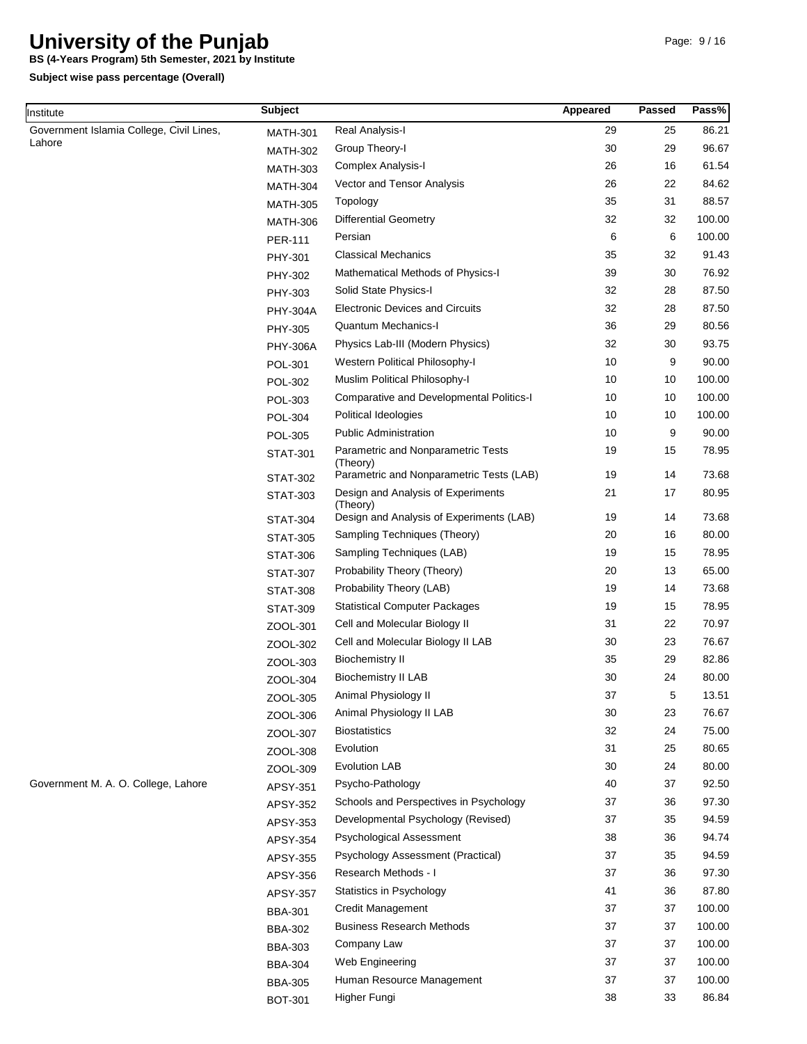**BS (4-Years Program) 5th Semester, 2021 by Institute**

| Institute                                          | <b>Subject</b>  |                                                | Appeared | Passed | Pass%  |
|----------------------------------------------------|-----------------|------------------------------------------------|----------|--------|--------|
| Government Islamia College, Civil Lines,<br>Lahore | <b>MATH-301</b> | Real Analysis-I                                | 29       | 25     | 86.21  |
|                                                    | <b>MATH-302</b> | Group Theory-I                                 | 30       | 29     | 96.67  |
|                                                    | <b>MATH-303</b> | Complex Analysis-I                             | 26       | 16     | 61.54  |
|                                                    | <b>MATH-304</b> | Vector and Tensor Analysis                     | 26       | 22     | 84.62  |
|                                                    | <b>MATH-305</b> | Topology                                       | 35       | 31     | 88.57  |
|                                                    | <b>MATH-306</b> | <b>Differential Geometry</b>                   | 32       | 32     | 100.00 |
|                                                    | <b>PER-111</b>  | Persian                                        | 6        | 6      | 100.00 |
|                                                    | PHY-301         | <b>Classical Mechanics</b>                     | 35       | 32     | 91.43  |
|                                                    | PHY-302         | Mathematical Methods of Physics-I              | 39       | 30     | 76.92  |
|                                                    | PHY-303         | Solid State Physics-I                          | 32       | 28     | 87.50  |
|                                                    | <b>PHY-304A</b> | <b>Electronic Devices and Circuits</b>         | 32       | 28     | 87.50  |
|                                                    | PHY-305         | <b>Quantum Mechanics-I</b>                     | 36       | 29     | 80.56  |
|                                                    | <b>PHY-306A</b> | Physics Lab-III (Modern Physics)               | 32       | 30     | 93.75  |
|                                                    | POL-301         | Western Political Philosophy-I                 | 10       | 9      | 90.00  |
|                                                    | <b>POL-302</b>  | Muslim Political Philosophy-I                  | 10       | 10     | 100.00 |
|                                                    | POL-303         | Comparative and Developmental Politics-I       | 10       | 10     | 100.00 |
|                                                    | <b>POL-304</b>  | <b>Political Ideologies</b>                    | 10       | 10     | 100.00 |
|                                                    | <b>POL-305</b>  | <b>Public Administration</b>                   | 10       | 9      | 90.00  |
|                                                    | <b>STAT-301</b> | Parametric and Nonparametric Tests<br>(Theory) | 19       | 15     | 78.95  |
|                                                    | <b>STAT-302</b> | Parametric and Nonparametric Tests (LAB)       | 19       | 14     | 73.68  |
|                                                    | <b>STAT-303</b> | Design and Analysis of Experiments<br>(Theory) | 21       | 17     | 80.95  |
|                                                    | <b>STAT-304</b> | Design and Analysis of Experiments (LAB)       | 19       | 14     | 73.68  |
|                                                    | <b>STAT-305</b> | Sampling Techniques (Theory)                   | 20       | 16     | 80.00  |
|                                                    | <b>STAT-306</b> | Sampling Techniques (LAB)                      | 19       | 15     | 78.95  |
|                                                    | <b>STAT-307</b> | Probability Theory (Theory)                    | 20       | 13     | 65.00  |
|                                                    | <b>STAT-308</b> | Probability Theory (LAB)                       | 19       | 14     | 73.68  |
|                                                    | <b>STAT-309</b> | <b>Statistical Computer Packages</b>           | 19       | 15     | 78.95  |
|                                                    | ZOOL-301        | Cell and Molecular Biology II                  | 31       | 22     | 70.97  |
|                                                    | ZOOL-302        | Cell and Molecular Biology II LAB              | 30       | 23     | 76.67  |
|                                                    | ZOOL-303        | <b>Biochemistry II</b>                         | 35       | 29     | 82.86  |
|                                                    | ZOOL-304        | <b>Biochemistry II LAB</b>                     | 30       | 24     | 80.00  |
|                                                    | ZOOL-305        | Animal Physiology II                           | 37       | 5      | 13.51  |
|                                                    | ZOOL-306        | Animal Physiology II LAB                       | 30       | 23     | 76.67  |
|                                                    | ZOOL-307        | <b>Biostatistics</b>                           | 32       | 24     | 75.00  |
|                                                    | ZOOL-308        | Evolution                                      | 31       | 25     | 80.65  |
|                                                    | ZOOL-309        | <b>Evolution LAB</b>                           | 30       | 24     | 80.00  |
| Government M. A. O. College, Lahore                | APSY-351        | Psycho-Pathology                               | 40       | 37     | 92.50  |
|                                                    | APSY-352        | Schools and Perspectives in Psychology         | 37       | 36     | 97.30  |
|                                                    | APSY-353        | Developmental Psychology (Revised)             | 37       | 35     | 94.59  |
|                                                    | APSY-354        | Psychological Assessment                       | 38       | 36     | 94.74  |
|                                                    | APSY-355        | Psychology Assessment (Practical)              | 37       | 35     | 94.59  |
|                                                    | APSY-356        | Research Methods - I                           | 37       | 36     | 97.30  |
|                                                    | APSY-357        | Statistics in Psychology                       | 41       | 36     | 87.80  |
|                                                    | <b>BBA-301</b>  | Credit Management                              | 37       | 37     | 100.00 |
|                                                    | <b>BBA-302</b>  | <b>Business Research Methods</b>               | 37       | 37     | 100.00 |
|                                                    | <b>BBA-303</b>  | Company Law                                    | 37       | 37     | 100.00 |
|                                                    | <b>BBA-304</b>  | Web Engineering                                | 37       | 37     | 100.00 |
|                                                    | <b>BBA-305</b>  | Human Resource Management                      | 37       | 37     | 100.00 |
|                                                    | <b>BOT-301</b>  | Higher Fungi                                   | 38       | 33     | 86.84  |
|                                                    |                 |                                                |          |        |        |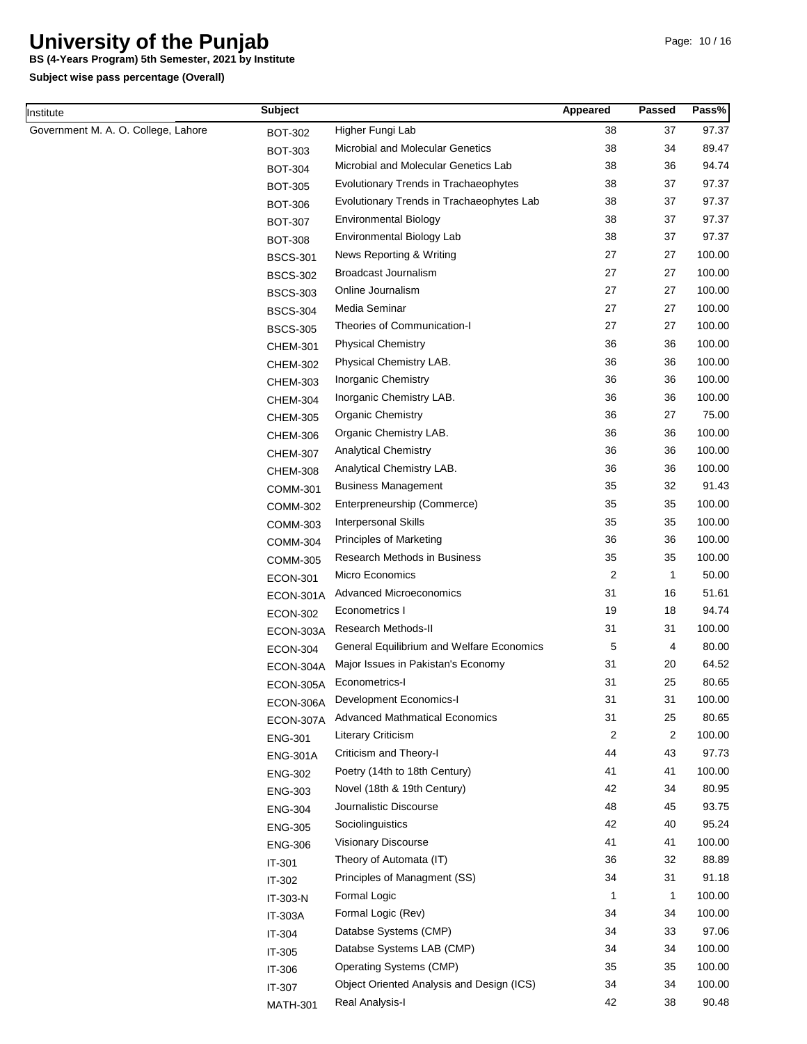**BS (4-Years Program) 5th Semester, 2021 by Institute**

| Institute                           | <b>Subject</b>  |                                           | Appeared       | <b>Passed</b> | Pass%  |
|-------------------------------------|-----------------|-------------------------------------------|----------------|---------------|--------|
| Government M. A. O. College, Lahore | <b>BOT-302</b>  | Higher Fungi Lab                          | 38             | 37            | 97.37  |
|                                     | <b>BOT-303</b>  | Microbial and Molecular Genetics          | 38             | 34            | 89.47  |
|                                     | <b>BOT-304</b>  | Microbial and Molecular Genetics Lab      | 38             | 36            | 94.74  |
|                                     | <b>BOT-305</b>  | Evolutionary Trends in Trachaeophytes     | 38             | 37            | 97.37  |
|                                     | <b>BOT-306</b>  | Evolutionary Trends in Trachaeophytes Lab | 38             | 37            | 97.37  |
|                                     | <b>BOT-307</b>  | <b>Environmental Biology</b>              | 38             | 37            | 97.37  |
|                                     | <b>BOT-308</b>  | <b>Environmental Biology Lab</b>          | 38             | 37            | 97.37  |
|                                     | <b>BSCS-301</b> | News Reporting & Writing                  | 27             | 27            | 100.00 |
|                                     | <b>BSCS-302</b> | Broadcast Journalism                      | 27             | 27            | 100.00 |
|                                     | <b>BSCS-303</b> | Online Journalism                         | 27             | 27            | 100.00 |
|                                     | <b>BSCS-304</b> | Media Seminar                             | 27             | 27            | 100.00 |
|                                     | <b>BSCS-305</b> | Theories of Communication-I               | 27             | 27            | 100.00 |
|                                     | <b>CHEM-301</b> | <b>Physical Chemistry</b>                 | 36             | 36            | 100.00 |
|                                     | <b>CHEM-302</b> | Physical Chemistry LAB.                   | 36             | 36            | 100.00 |
|                                     | <b>CHEM-303</b> | Inorganic Chemistry                       | 36             | 36            | 100.00 |
|                                     | <b>CHEM-304</b> | Inorganic Chemistry LAB.                  | 36             | 36            | 100.00 |
|                                     | <b>CHEM-305</b> | <b>Organic Chemistry</b>                  | 36             | 27            | 75.00  |
|                                     | <b>CHEM-306</b> | Organic Chemistry LAB.                    | 36             | 36            | 100.00 |
|                                     | <b>CHEM-307</b> | <b>Analytical Chemistry</b>               | 36             | 36            | 100.00 |
|                                     | <b>CHEM-308</b> | Analytical Chemistry LAB.                 | 36             | 36            | 100.00 |
|                                     | <b>COMM-301</b> | <b>Business Management</b>                | 35             | 32            | 91.43  |
|                                     | COMM-302        | Enterpreneurship (Commerce)               | 35             | 35            | 100.00 |
|                                     | <b>COMM-303</b> | <b>Interpersonal Skills</b>               | 35             | 35            | 100.00 |
|                                     | <b>COMM-304</b> | <b>Principles of Marketing</b>            | 36             | 36            | 100.00 |
|                                     | <b>COMM-305</b> | Research Methods in Business              | 35             | 35            | 100.00 |
|                                     | <b>ECON-301</b> | Micro Economics                           | $\overline{c}$ | 1             | 50.00  |
|                                     | ECON-301A       | <b>Advanced Microeconomics</b>            | 31             | 16            | 51.61  |
|                                     | <b>ECON-302</b> | Econometrics I                            | 19             | 18            | 94.74  |
|                                     | ECON-303A       | Research Methods-II                       | 31             | 31            | 100.00 |
|                                     | <b>ECON-304</b> | General Equilibrium and Welfare Economics | 5              | 4             | 80.00  |
|                                     | ECON-304A       | Major Issues in Pakistan's Economy        | 31             | 20            | 64.52  |
|                                     | ECON-305A       | Econometrics-I                            | 31             | 25            | 80.65  |
|                                     | ECON-306A       | Development Economics-I                   | 31             | 31            | 100.00 |
|                                     | ECON-307A       | <b>Advanced Mathmatical Economics</b>     | 31             | 25            | 80.65  |
|                                     | <b>ENG-301</b>  | <b>Literary Criticism</b>                 | 2              | 2             | 100.00 |
|                                     | <b>ENG-301A</b> | Criticism and Theory-I                    | 44             | 43            | 97.73  |
|                                     | <b>ENG-302</b>  | Poetry (14th to 18th Century)             | 41             | 41            | 100.00 |
|                                     | <b>ENG-303</b>  | Novel (18th & 19th Century)               | 42             | 34            | 80.95  |
|                                     | <b>ENG-304</b>  | Journalistic Discourse                    | 48             | 45            | 93.75  |
|                                     | <b>ENG-305</b>  | Sociolinguistics                          | 42             | 40            | 95.24  |
|                                     | <b>ENG-306</b>  | Visionary Discourse                       | 41             | 41            | 100.00 |
|                                     | IT-301          | Theory of Automata (IT)                   | 36             | 32            | 88.89  |
|                                     | IT-302          | Principles of Managment (SS)              | 34             | 31            | 91.18  |
|                                     | IT-303-N        | Formal Logic                              | -1             | 1             | 100.00 |
|                                     | IT-303A         | Formal Logic (Rev)                        | 34             | 34            | 100.00 |
|                                     | IT-304          | Databse Systems (CMP)                     | 34             | 33            | 97.06  |
|                                     | IT-305          | Databse Systems LAB (CMP)                 | 34             | 34            | 100.00 |
|                                     | IT-306          | Operating Systems (CMP)                   | 35             | 35            | 100.00 |
|                                     | IT-307          | Object Oriented Analysis and Design (ICS) | 34             | 34            | 100.00 |
|                                     | <b>MATH-301</b> | Real Analysis-I                           | 42             | 38            | 90.48  |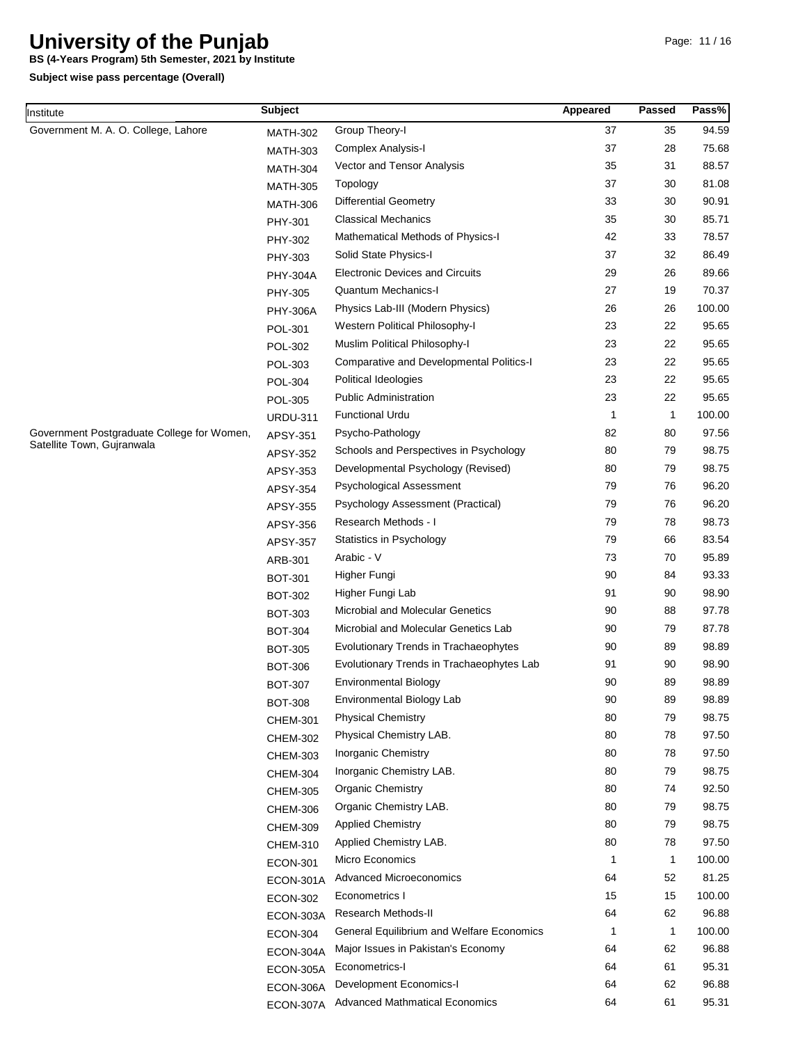**BS (4-Years Program) 5th Semester, 2021 by Institute**

| Institute                                                                | <b>Subject</b>  |                                                 | Appeared | <b>Passed</b> | Pass%  |
|--------------------------------------------------------------------------|-----------------|-------------------------------------------------|----------|---------------|--------|
| Government M. A. O. College, Lahore                                      | <b>MATH-302</b> | Group Theory-I                                  | 37       | 35            | 94.59  |
|                                                                          | <b>MATH-303</b> | <b>Complex Analysis-I</b>                       | 37       | 28            | 75.68  |
|                                                                          | <b>MATH-304</b> | Vector and Tensor Analysis                      | 35       | 31            | 88.57  |
| Government Postgraduate College for Women,<br>Satellite Town, Gujranwala | <b>MATH-305</b> | Topology                                        | 37       | 30            | 81.08  |
|                                                                          | <b>MATH-306</b> | <b>Differential Geometry</b>                    | 33       | 30            | 90.91  |
|                                                                          | PHY-301         | <b>Classical Mechanics</b>                      | 35       | 30            | 85.71  |
|                                                                          | PHY-302         | Mathematical Methods of Physics-I               | 42       | 33            | 78.57  |
|                                                                          | PHY-303         | Solid State Physics-I                           | 37       | 32            | 86.49  |
|                                                                          | <b>PHY-304A</b> | <b>Electronic Devices and Circuits</b>          | 29       | 26            | 89.66  |
|                                                                          | PHY-305         | Quantum Mechanics-I                             | 27       | 19            | 70.37  |
|                                                                          | <b>PHY-306A</b> | Physics Lab-III (Modern Physics)                | 26       | 26            | 100.00 |
|                                                                          | POL-301         | Western Political Philosophy-I                  | 23       | 22            | 95.65  |
|                                                                          | <b>POL-302</b>  | Muslim Political Philosophy-I                   | 23       | 22            | 95.65  |
|                                                                          | POL-303         | <b>Comparative and Developmental Politics-I</b> | 23       | 22            | 95.65  |
|                                                                          | POL-304         | Political Ideologies                            | 23       | 22            | 95.65  |
|                                                                          | <b>POL-305</b>  | <b>Public Administration</b>                    | 23       | 22            | 95.65  |
|                                                                          | <b>URDU-311</b> | <b>Functional Urdu</b>                          | 1        | 1             | 100.00 |
|                                                                          | APSY-351        | Psycho-Pathology                                | 82       | 80            | 97.56  |
|                                                                          |                 | Schools and Perspectives in Psychology          | 80       | 79            | 98.75  |
|                                                                          | APSY-352        | Developmental Psychology (Revised)              | 80       | 79            | 98.75  |
|                                                                          | APSY-353        | Psychological Assessment                        | 79       | 76            | 96.20  |
|                                                                          | APSY-354        | Psychology Assessment (Practical)               | 79       | 76            | 96.20  |
|                                                                          | APSY-355        | Research Methods - I                            | 79       | 78            | 98.73  |
|                                                                          | APSY-356        | Statistics in Psychology                        | 79       | 66            | 83.54  |
|                                                                          | APSY-357        | Arabic - V                                      | 73       | 70            | 95.89  |
|                                                                          | ARB-301         | Higher Fungi                                    | 90       | 84            | 93.33  |
|                                                                          | <b>BOT-301</b>  | Higher Fungi Lab                                | 91       | 90            | 98.90  |
|                                                                          | <b>BOT-302</b>  | Microbial and Molecular Genetics                | 90       | 88            | 97.78  |
|                                                                          | <b>BOT-303</b>  | Microbial and Molecular Genetics Lab            | 90       | 79            | 87.78  |
|                                                                          | <b>BOT-304</b>  | Evolutionary Trends in Trachaeophytes           | 90       | 89            | 98.89  |
|                                                                          | <b>BOT-305</b>  | Evolutionary Trends in Trachaeophytes Lab       | 91       | 90            | 98.90  |
|                                                                          | <b>BOT-306</b>  | <b>Environmental Biology</b>                    | 90       | 89            | 98.89  |
|                                                                          | <b>BOT-307</b>  | Environmental Biology Lab                       | 90       | 89            | 98.89  |
|                                                                          | <b>BOT-308</b>  | <b>Physical Chemistry</b>                       | 80       | 79            | 98.75  |
|                                                                          | <b>CHEM-301</b> | Physical Chemistry LAB.                         | 80       | 78            | 97.50  |
|                                                                          | <b>CHEM-302</b> | <b>Inorganic Chemistry</b>                      | 80       | 78            | 97.50  |
|                                                                          | <b>CHEM-303</b> | Inorganic Chemistry LAB.                        | 80       | 79            | 98.75  |
|                                                                          | <b>CHEM-304</b> | <b>Organic Chemistry</b>                        | 80       | 74            | 92.50  |
|                                                                          | <b>CHEM-305</b> | Organic Chemistry LAB.                          | 80       | 79            | 98.75  |
|                                                                          | <b>CHEM-306</b> | <b>Applied Chemistry</b>                        | 80       | 79            | 98.75  |
|                                                                          | <b>CHEM-309</b> | Applied Chemistry LAB.                          | 80       | 78            | 97.50  |
|                                                                          | <b>CHEM-310</b> | Micro Economics                                 | 1        |               | 100.00 |
|                                                                          | <b>ECON-301</b> |                                                 |          | 1             |        |
|                                                                          | ECON-301A       | <b>Advanced Microeconomics</b>                  | 64       | 52            | 81.25  |
|                                                                          | <b>ECON-302</b> | Econometrics I                                  | 15       | 15            | 100.00 |
|                                                                          | ECON-303A       | Research Methods-II                             | 64       | 62            | 96.88  |
|                                                                          | <b>ECON-304</b> | General Equilibrium and Welfare Economics       | 1        | 1             | 100.00 |
|                                                                          | ECON-304A       | Major Issues in Pakistan's Economy              | 64       | 62            | 96.88  |
|                                                                          | ECON-305A       | Econometrics-I                                  | 64       | 61            | 95.31  |
|                                                                          | ECON-306A       | Development Economics-I                         | 64       | 62            | 96.88  |
|                                                                          | ECON-307A       | <b>Advanced Mathmatical Economics</b>           | 64       | 61            | 95.31  |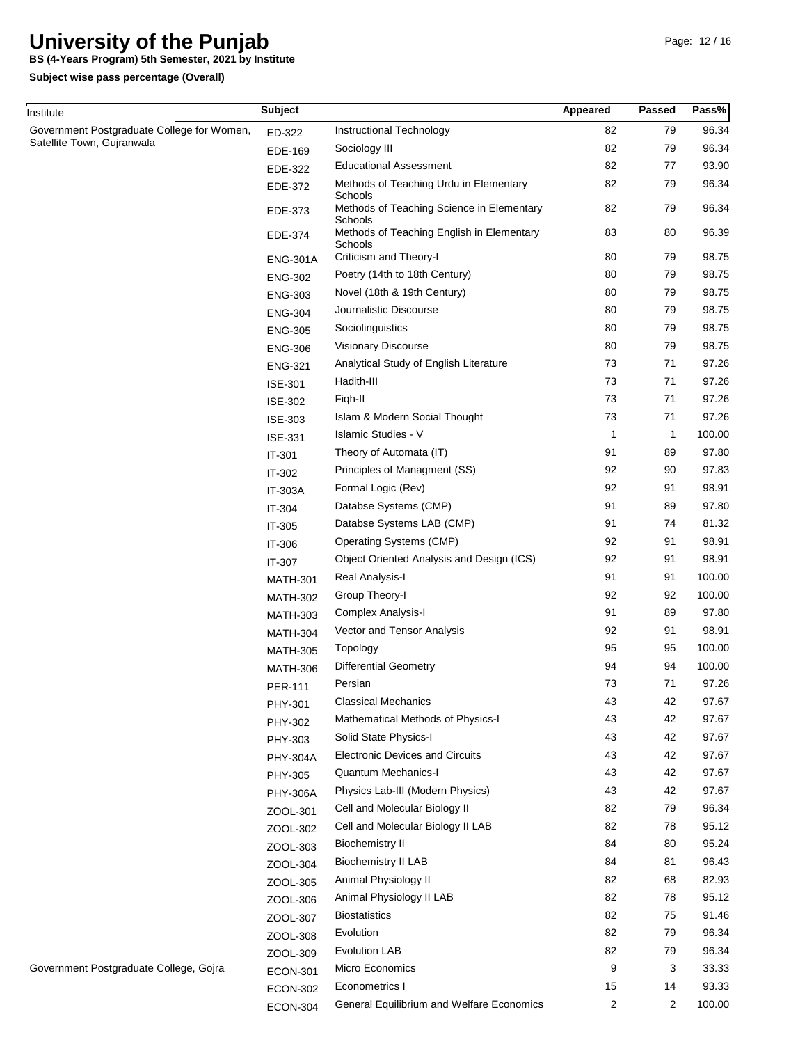**BS (4-Years Program) 5th Semester, 2021 by Institute**

**Subject wise pass percentage (Overall)**

Institute

| nstitute                                   | <b>Subject</b>  |                                                                 | Appeared | <b>Passed</b> | Pass%  |
|--------------------------------------------|-----------------|-----------------------------------------------------------------|----------|---------------|--------|
| Government Postgraduate College for Women, | ED-322          | Instructional Technology                                        | 82       | 79            | 96.34  |
| Satellite Town, Gujranwala                 | EDE-169         | Sociology III                                                   | 82       | 79            | 96.34  |
|                                            | EDE-322         | <b>Educational Assessment</b>                                   | 82       | 77            | 93.90  |
|                                            | EDE-372         | Methods of Teaching Urdu in Elementary                          | 82       | 79            | 96.34  |
|                                            | EDE-373         | Schools<br>Methods of Teaching Science in Elementary<br>Schools | 82       | 79            | 96.34  |
|                                            | EDE-374         | Methods of Teaching English in Elementary<br>Schools            | 83       | 80            | 96.39  |
|                                            | <b>ENG-301A</b> | Criticism and Theory-I                                          | 80       | 79            | 98.75  |
|                                            | <b>ENG-302</b>  | Poetry (14th to 18th Century)                                   | 80       | 79            | 98.75  |
|                                            | <b>ENG-303</b>  | Novel (18th & 19th Century)                                     | 80       | 79            | 98.75  |
|                                            | <b>ENG-304</b>  | Journalistic Discourse                                          | 80       | 79            | 98.75  |
|                                            | <b>ENG-305</b>  | Sociolinguistics                                                | 80       | 79            | 98.75  |
|                                            | <b>ENG-306</b>  | Visionary Discourse                                             | 80       | 79            | 98.75  |
|                                            | <b>ENG-321</b>  | Analytical Study of English Literature                          | 73       | 71            | 97.26  |
|                                            | ISE-301         | Hadith-III                                                      | 73       | 71            | 97.26  |
|                                            | <b>ISE-302</b>  | Figh-II                                                         | 73       | 71            | 97.26  |
|                                            | ISE-303         | Islam & Modern Social Thought                                   | 73       | 71            | 97.26  |
|                                            | ISE-331         | <b>Islamic Studies - V</b>                                      | 1        | $\mathbf{1}$  | 100.00 |
|                                            | IT-301          | Theory of Automata (IT)                                         | 91       | 89            | 97.80  |
|                                            | IT-302          | Principles of Managment (SS)                                    | 92       | 90            | 97.83  |
|                                            | <b>IT-303A</b>  | Formal Logic (Rev)                                              | 92       | 91            | 98.91  |
|                                            | IT-304          | Databse Systems (CMP)                                           | 91       | 89            | 97.80  |
|                                            | IT-305          | Databse Systems LAB (CMP)                                       | 91       | 74            | 81.32  |
|                                            | IT-306          | Operating Systems (CMP)                                         | 92       | 91            | 98.91  |
|                                            | IT-307          | Object Oriented Analysis and Design (ICS)                       | 92       | 91            | 98.91  |
|                                            | <b>MATH-301</b> | Real Analysis-I                                                 | 91       | 91            | 100.00 |
|                                            | <b>MATH-302</b> | Group Theory-I                                                  | 92       | 92            | 100.00 |
|                                            | <b>MATH-303</b> | Complex Analysis-I                                              | 91       | 89            | 97.80  |
|                                            | <b>MATH-304</b> | Vector and Tensor Analysis                                      | 92       | 91            | 98.91  |
|                                            | <b>MATH-305</b> | Topology                                                        | 95       | 95            | 100.00 |
|                                            | <b>MATH-306</b> | <b>Differential Geometry</b>                                    | 94       | 94            | 100.00 |
|                                            | <b>PER-111</b>  | Persian                                                         | 73       | 71            | 97.26  |
|                                            | PHY-301         | <b>Classical Mechanics</b>                                      | 43       | 42            | 97.67  |
|                                            | PHY-302         | Mathematical Methods of Physics-I                               | 43       | 42            | 97.67  |
|                                            | PHY-303         | Solid State Physics-I                                           | 43       | 42            | 97.67  |
|                                            | <b>PHY-304A</b> | <b>Electronic Devices and Circuits</b>                          | 43       | 42            | 97.67  |
|                                            | PHY-305         | <b>Quantum Mechanics-I</b>                                      | 43       | 42            | 97.67  |
|                                            | <b>PHY-306A</b> | Physics Lab-III (Modern Physics)                                | 43       | 42            | 97.67  |
|                                            | ZOOL-301        | Cell and Molecular Biology II                                   | 82       | 79            | 96.34  |
|                                            | ZOOL-302        | Cell and Molecular Biology II LAB                               | 82       | 78            | 95.12  |
|                                            | ZOOL-303        | <b>Biochemistry II</b>                                          | 84       | 80            | 95.24  |
|                                            | ZOOL-304        | <b>Biochemistry II LAB</b>                                      | 84       | 81            | 96.43  |
|                                            | ZOOL-305        | Animal Physiology II                                            | 82       | 68            | 82.93  |
|                                            | ZOOL-306        | Animal Physiology II LAB                                        | 82       | 78            | 95.12  |
|                                            | ZOOL-307        | <b>Biostatistics</b>                                            | 82       | 75            | 91.46  |
|                                            | ZOOL-308        | Evolution                                                       | 82       | 79            | 96.34  |
|                                            | ZOOL-309        | <b>Evolution LAB</b>                                            | 82       | 79            | 96.34  |
| Government Postgraduate College, Gojra     | <b>ECON-301</b> | Micro Economics                                                 | 9        | 3             | 33.33  |
|                                            | <b>ECON-302</b> | Econometrics I                                                  | 15       | 14            | 93.33  |
|                                            | <b>ECON-304</b> | General Equilibrium and Welfare Economics                       | 2        | 2             | 100.00 |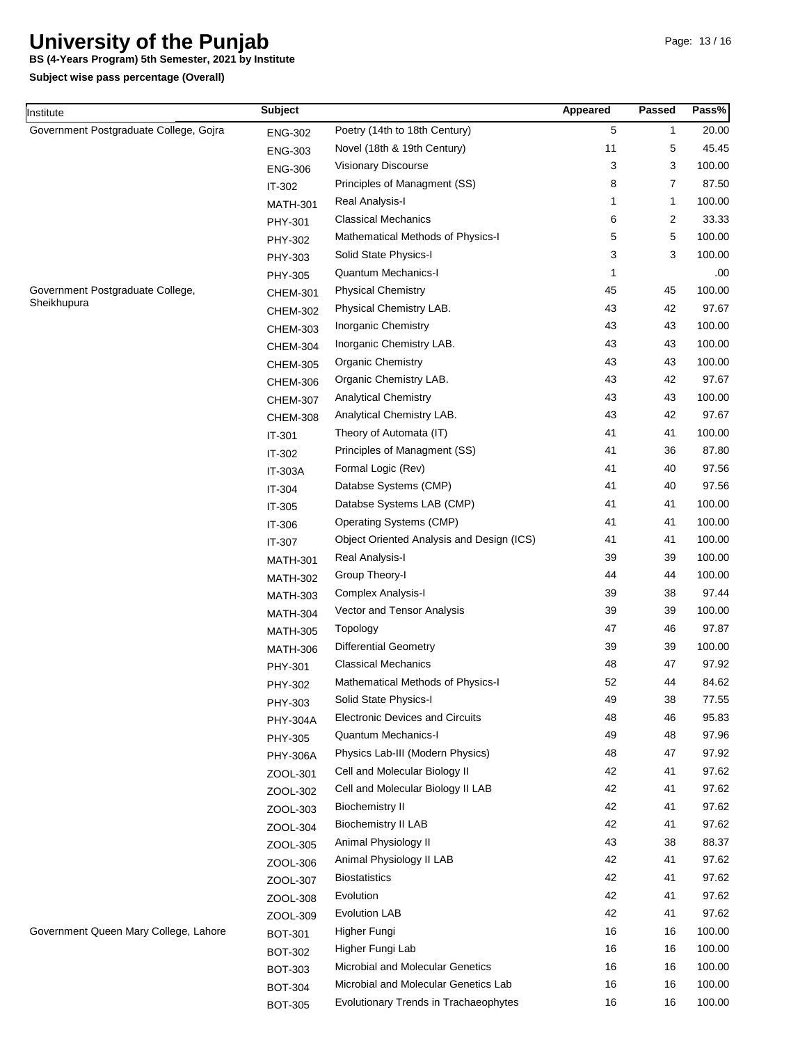**BS (4-Years Program) 5th Semester, 2021 by Institute**

| ∥nstitute                              | <b>Subject</b>             |                                           | Appeared | <b>Passed</b> | Pass%  |
|----------------------------------------|----------------------------|-------------------------------------------|----------|---------------|--------|
| Government Postgraduate College, Gojra | ENG-302                    | Poetry (14th to 18th Century)             | 5        | 1             | 20.00  |
|                                        | <b>ENG-303</b>             | Novel (18th & 19th Century)               | 11       | 5             | 45.45  |
|                                        | <b>ENG-306</b>             | Visionary Discourse                       | 3        | 3             | 100.00 |
|                                        | IT-302                     | Principles of Managment (SS)              | 8        | 7             | 87.50  |
|                                        | <b>MATH-301</b>            | Real Analysis-I                           | 1        | 1             | 100.00 |
|                                        | PHY-301                    | <b>Classical Mechanics</b>                | 6        | 2             | 33.33  |
|                                        | PHY-302                    | Mathematical Methods of Physics-I         | 5        | 5             | 100.00 |
|                                        | PHY-303                    | Solid State Physics-I                     | 3        | 3             | 100.00 |
|                                        | PHY-305                    | Quantum Mechanics-I                       | 1        |               | .00    |
| Government Postgraduate College,       | <b>CHEM-301</b>            | <b>Physical Chemistry</b>                 | 45       | 45            | 100.00 |
| Sheikhupura                            | <b>CHEM-302</b>            | Physical Chemistry LAB.                   | 43       | 42            | 97.67  |
|                                        | <b>CHEM-303</b>            | Inorganic Chemistry                       | 43       | 43            | 100.00 |
|                                        | <b>CHEM-304</b>            | Inorganic Chemistry LAB.                  | 43       | 43            | 100.00 |
|                                        | <b>CHEM-305</b>            | <b>Organic Chemistry</b>                  | 43       | 43            | 100.00 |
|                                        | <b>CHEM-306</b>            | Organic Chemistry LAB.                    | 43       | 42            | 97.67  |
|                                        | <b>CHEM-307</b>            | <b>Analytical Chemistry</b>               | 43       | 43            | 100.00 |
|                                        | <b>CHEM-308</b>            | Analytical Chemistry LAB.                 | 43       | 42            | 97.67  |
|                                        | IT-301                     | Theory of Automata (IT)                   | 41       | 41            | 100.00 |
|                                        | IT-302                     | Principles of Managment (SS)              | 41       | 36            | 87.80  |
|                                        | <b>IT-303A</b>             | Formal Logic (Rev)                        | 41       | 40            | 97.56  |
|                                        | IT-304                     | Databse Systems (CMP)                     | 41       | 40            | 97.56  |
|                                        | IT-305                     | Databse Systems LAB (CMP)                 | 41       | 41            | 100.00 |
|                                        | IT-306                     | Operating Systems (CMP)                   | 41       | 41            | 100.00 |
|                                        | IT-307                     | Object Oriented Analysis and Design (ICS) | 41       | 41            | 100.00 |
|                                        | <b>MATH-301</b>            | Real Analysis-I                           | 39       | 39            | 100.00 |
|                                        | <b>MATH-302</b>            | Group Theory-I                            | 44       | 44            | 100.00 |
|                                        | <b>MATH-303</b>            | Complex Analysis-I                        | 39       | 38            | 97.44  |
|                                        | <b>MATH-304</b>            | Vector and Tensor Analysis                | 39       | 39            | 100.00 |
|                                        | <b>MATH-305</b>            | Topology                                  | 47       | 46            | 97.87  |
|                                        | <b>MATH-306</b>            | <b>Differential Geometry</b>              | 39       | 39            | 100.00 |
|                                        | PHY-301                    | <b>Classical Mechanics</b>                | 48       | 47            | 97.92  |
|                                        |                            | Mathematical Methods of Physics-I         | 52       | 44            | 84.62  |
|                                        | PHY-302                    | Solid State Physics-I                     | 49       | 38            | 77.55  |
|                                        | PHY-303<br><b>PHY-304A</b> | <b>Electronic Devices and Circuits</b>    | 48       | 46            | 95.83  |
|                                        |                            | <b>Quantum Mechanics-I</b>                | 49       | 48            | 97.96  |
|                                        | PHY-305                    | Physics Lab-III (Modern Physics)          | 48       | 47            | 97.92  |
|                                        | <b>PHY-306A</b>            | Cell and Molecular Biology II             | 42       | 41            | 97.62  |
|                                        | ZOOL-301                   | Cell and Molecular Biology II LAB         | 42       | 41            | 97.62  |
|                                        | ZOOL-302                   | <b>Biochemistry II</b>                    | 42       | 41            | 97.62  |
|                                        | ZOOL-303                   | <b>Biochemistry II LAB</b>                | 42       | 41            | 97.62  |
|                                        | ZOOL-304                   | Animal Physiology II                      | 43       | 38            | 88.37  |
|                                        | ZOOL-305                   | Animal Physiology II LAB                  | 42       | 41            | 97.62  |
|                                        | ZOOL-306                   | <b>Biostatistics</b>                      | 42       | 41            | 97.62  |
|                                        | ZOOL-307                   | Evolution                                 | 42       | 41            | 97.62  |
|                                        | ZOOL-308                   | <b>Evolution LAB</b>                      | 42       | 41            | 97.62  |
|                                        | ZOOL-309                   |                                           |          |               |        |
| Government Queen Mary College, Lahore  | <b>BOT-301</b>             | Higher Fungi                              | 16       | 16            | 100.00 |
|                                        | <b>BOT-302</b>             | Higher Fungi Lab                          | 16       | 16            | 100.00 |
|                                        | <b>BOT-303</b>             | Microbial and Molecular Genetics          | 16       | 16            | 100.00 |
|                                        | <b>BOT-304</b>             | Microbial and Molecular Genetics Lab      | 16       | 16            | 100.00 |
|                                        | <b>BOT-305</b>             | Evolutionary Trends in Trachaeophytes     | 16       | 16            | 100.00 |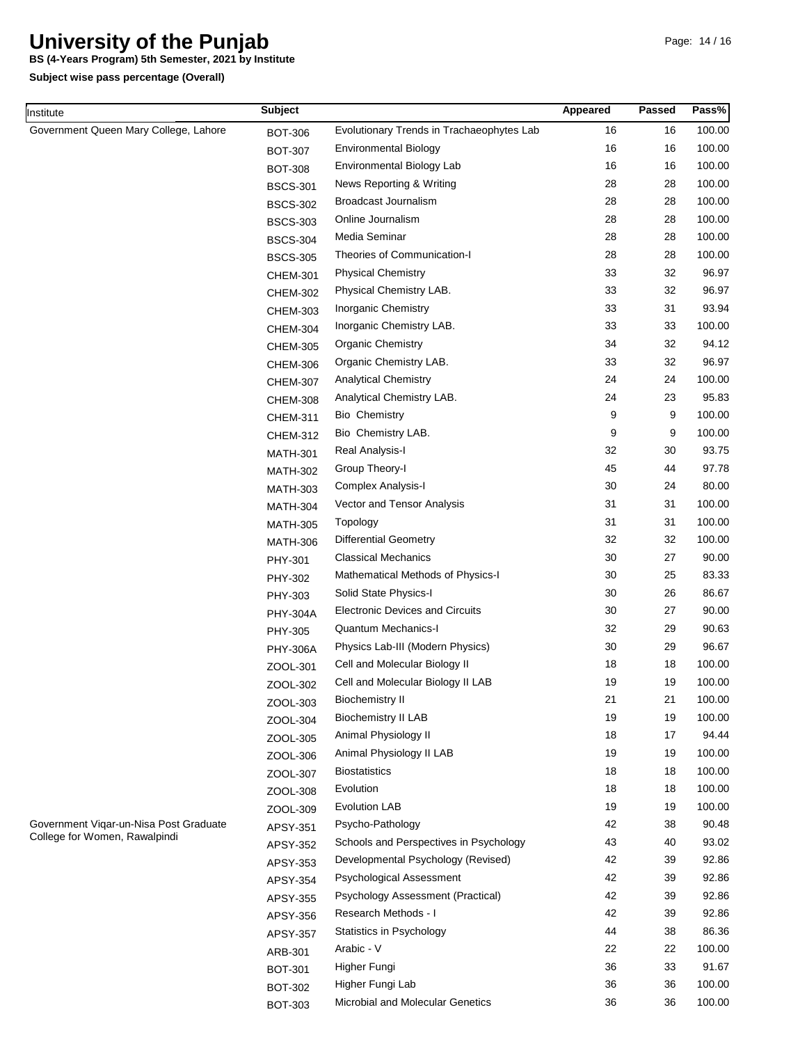**BS (4-Years Program) 5th Semester, 2021 by Institute**

**Subject wise pass percentage (Overall)**

Institute

| nstitute                                                                | <b>Subject</b>  |                                           | Appeared | Passed | Pass%  |
|-------------------------------------------------------------------------|-----------------|-------------------------------------------|----------|--------|--------|
| Government Queen Mary College, Lahore                                   | <b>BOT-306</b>  | Evolutionary Trends in Trachaeophytes Lab | 16       | 16     | 100.00 |
|                                                                         | <b>BOT-307</b>  | <b>Environmental Biology</b>              | 16       | 16     | 100.00 |
|                                                                         | <b>BOT-308</b>  | Environmental Biology Lab                 | 16       | 16     | 100.00 |
|                                                                         | <b>BSCS-301</b> | News Reporting & Writing                  | 28       | 28     | 100.00 |
|                                                                         | <b>BSCS-302</b> | Broadcast Journalism                      | 28       | 28     | 100.00 |
|                                                                         | <b>BSCS-303</b> | Online Journalism                         | 28       | 28     | 100.00 |
|                                                                         | <b>BSCS-304</b> | Media Seminar                             | 28       | 28     | 100.00 |
|                                                                         | <b>BSCS-305</b> | Theories of Communication-I               | 28       | 28     | 100.00 |
|                                                                         | CHEM-301        | <b>Physical Chemistry</b>                 | 33       | 32     | 96.97  |
|                                                                         | <b>CHEM-302</b> | Physical Chemistry LAB.                   | 33       | 32     | 96.97  |
|                                                                         | <b>CHEM-303</b> | Inorganic Chemistry                       | 33       | 31     | 93.94  |
|                                                                         | <b>CHEM-304</b> | Inorganic Chemistry LAB.                  | 33       | 33     | 100.00 |
|                                                                         | <b>CHEM-305</b> | <b>Organic Chemistry</b>                  | 34       | 32     | 94.12  |
|                                                                         | <b>CHEM-306</b> | Organic Chemistry LAB.                    | 33       | 32     | 96.97  |
|                                                                         | <b>CHEM-307</b> | <b>Analytical Chemistry</b>               | 24       | 24     | 100.00 |
|                                                                         | <b>CHEM-308</b> | Analytical Chemistry LAB.                 | 24       | 23     | 95.83  |
|                                                                         | <b>CHEM-311</b> | <b>Bio Chemistry</b>                      | 9        | 9      | 100.00 |
|                                                                         | <b>CHEM-312</b> | Bio Chemistry LAB.                        | 9        | 9      | 100.00 |
|                                                                         | <b>MATH-301</b> | Real Analysis-I                           | 32       | 30     | 93.75  |
|                                                                         | <b>MATH-302</b> | Group Theory-I                            | 45       | 44     | 97.78  |
|                                                                         | <b>MATH-303</b> | Complex Analysis-I                        | 30       | 24     | 80.00  |
|                                                                         | <b>MATH-304</b> | Vector and Tensor Analysis                | 31       | 31     | 100.00 |
|                                                                         | <b>MATH-305</b> | Topology                                  | 31       | 31     | 100.00 |
|                                                                         | <b>MATH-306</b> | <b>Differential Geometry</b>              | 32       | 32     | 100.00 |
|                                                                         | PHY-301         | <b>Classical Mechanics</b>                | 30       | 27     | 90.00  |
|                                                                         | PHY-302         | Mathematical Methods of Physics-I         | 30       | 25     | 83.33  |
|                                                                         | PHY-303         | Solid State Physics-I                     | 30       | 26     | 86.67  |
|                                                                         | <b>PHY-304A</b> | <b>Electronic Devices and Circuits</b>    | 30       | 27     | 90.00  |
|                                                                         | PHY-305         | Quantum Mechanics-I                       | 32       | 29     | 90.63  |
|                                                                         | <b>PHY-306A</b> | Physics Lab-III (Modern Physics)          | 30       | 29     | 96.67  |
|                                                                         | ZOOL-301        | Cell and Molecular Biology II             | 18       | 18     | 100.00 |
|                                                                         | ZOOL-302        | Cell and Molecular Biology II LAB         | 19       | 19     | 100.00 |
|                                                                         | ZOOL-303        | <b>Biochemistry II</b>                    | 21       | 21     | 100.00 |
|                                                                         | ZOOL-304        | <b>Biochemistry II LAB</b>                | 19       | 19     | 100.00 |
|                                                                         | ZOOL-305        | Animal Physiology II                      | 18       | 17     | 94.44  |
|                                                                         | ZOOL-306        | Animal Physiology II LAB                  | 19       | 19     | 100.00 |
|                                                                         | ZOOL-307        | <b>Biostatistics</b>                      | 18       | 18     | 100.00 |
|                                                                         | ZOOL-308        | Evolution                                 | 18       | 18     | 100.00 |
|                                                                         | ZOOL-309        | <b>Evolution LAB</b>                      | 19       | 19     | 100.00 |
| Government Vigar-un-Nisa Post Graduate<br>College for Women, Rawalpindi | APSY-351        | Psycho-Pathology                          | 42       | 38     | 90.48  |
|                                                                         | APSY-352        | Schools and Perspectives in Psychology    | 43       | 40     | 93.02  |
|                                                                         | APSY-353        | Developmental Psychology (Revised)        | 42       | 39     | 92.86  |
|                                                                         | APSY-354        | Psychological Assessment                  | 42       | 39     | 92.86  |
|                                                                         | APSY-355        | Psychology Assessment (Practical)         | 42       | 39     | 92.86  |
|                                                                         | APSY-356        | Research Methods - I                      | 42       | 39     | 92.86  |
|                                                                         | APSY-357        | Statistics in Psychology                  | 44       | 38     | 86.36  |
|                                                                         | ARB-301         | Arabic - V                                | 22       | 22     | 100.00 |
|                                                                         | <b>BOT-301</b>  | Higher Fungi                              | 36       | 33     | 91.67  |
|                                                                         | <b>BOT-302</b>  | Higher Fungi Lab                          | 36       | 36     | 100.00 |
|                                                                         | <b>BOT-303</b>  | Microbial and Molecular Genetics          | 36       | 36     | 100.00 |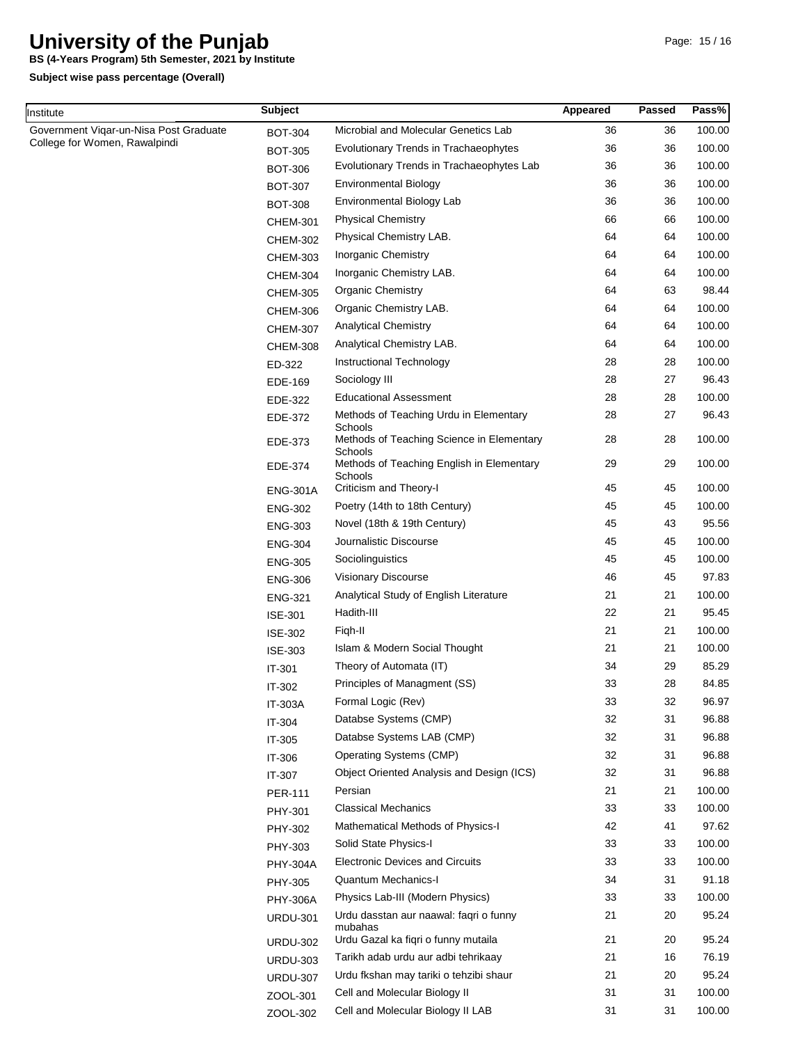**BS (4-Years Program) 5th Semester, 2021 by Institute**

| Institute                              | <b>Subject</b>  |                                                                 | Appeared | <b>Passed</b> | Pass%  |
|----------------------------------------|-----------------|-----------------------------------------------------------------|----------|---------------|--------|
| Government Vigar-un-Nisa Post Graduate | <b>BOT-304</b>  | Microbial and Molecular Genetics Lab                            | 36       | 36            | 100.00 |
| College for Women, Rawalpindi          | <b>BOT-305</b>  | Evolutionary Trends in Trachaeophytes                           | 36       | 36            | 100.00 |
|                                        | <b>BOT-306</b>  | Evolutionary Trends in Trachaeophytes Lab                       | 36       | 36            | 100.00 |
|                                        | <b>BOT-307</b>  | <b>Environmental Biology</b>                                    | 36       | 36            | 100.00 |
|                                        | <b>BOT-308</b>  | Environmental Biology Lab                                       | 36       | 36            | 100.00 |
|                                        | <b>CHEM-301</b> | <b>Physical Chemistry</b>                                       | 66       | 66            | 100.00 |
|                                        | <b>CHEM-302</b> | Physical Chemistry LAB.                                         | 64       | 64            | 100.00 |
|                                        | <b>CHEM-303</b> | Inorganic Chemistry                                             | 64       | 64            | 100.00 |
|                                        | <b>CHEM-304</b> | Inorganic Chemistry LAB.                                        | 64       | 64            | 100.00 |
|                                        | <b>CHEM-305</b> | <b>Organic Chemistry</b>                                        | 64       | 63            | 98.44  |
|                                        | <b>CHEM-306</b> | Organic Chemistry LAB.                                          | 64       | 64            | 100.00 |
|                                        | <b>CHEM-307</b> | <b>Analytical Chemistry</b>                                     | 64       | 64            | 100.00 |
|                                        | <b>CHEM-308</b> | Analytical Chemistry LAB.                                       | 64       | 64            | 100.00 |
|                                        | ED-322          | Instructional Technology                                        | 28       | 28            | 100.00 |
|                                        | EDE-169         | Sociology III                                                   | 28       | 27            | 96.43  |
|                                        | EDE-322         | <b>Educational Assessment</b>                                   | 28       | 28            | 100.00 |
|                                        | EDE-372         | Methods of Teaching Urdu in Elementary                          | 28       | 27            | 96.43  |
|                                        | EDE-373         | Schools<br>Methods of Teaching Science in Elementary            | 28       | 28            | 100.00 |
|                                        | EDE-374         | Schools<br>Methods of Teaching English in Elementary<br>Schools | 29       | 29            | 100.00 |
|                                        | <b>ENG-301A</b> | Criticism and Theory-I                                          | 45       | 45            | 100.00 |
|                                        | <b>ENG-302</b>  | Poetry (14th to 18th Century)                                   | 45       | 45            | 100.00 |
|                                        | <b>ENG-303</b>  | Novel (18th & 19th Century)                                     | 45       | 43            | 95.56  |
|                                        | <b>ENG-304</b>  | Journalistic Discourse                                          | 45       | 45            | 100.00 |
|                                        | <b>ENG-305</b>  | Sociolinguistics                                                | 45       | 45            | 100.00 |
|                                        | <b>ENG-306</b>  | Visionary Discourse                                             | 46       | 45            | 97.83  |
|                                        | <b>ENG-321</b>  | Analytical Study of English Literature                          | 21       | 21            | 100.00 |
|                                        | <b>ISE-301</b>  | Hadith-III                                                      | 22       | 21            | 95.45  |
|                                        | <b>ISE-302</b>  | Figh-II                                                         | 21       | 21            | 100.00 |
|                                        | <b>ISE-303</b>  | Islam & Modern Social Thought                                   | 21       | 21            | 100.00 |
|                                        | IT-301          | Theory of Automata (IT)                                         | 34       | 29            | 85.29  |
|                                        | IT-302          | Principles of Managment (SS)                                    | 33       | 28            | 84.85  |
|                                        | IT-303A         | Formal Logic (Rev)                                              | 33       | 32            | 96.97  |
|                                        | IT-304          | Databse Systems (CMP)                                           | 32       | 31            | 96.88  |
|                                        | IT-305          | Databse Systems LAB (CMP)                                       | 32       | 31            | 96.88  |
|                                        | IT-306          | Operating Systems (CMP)                                         | 32       | 31            | 96.88  |
|                                        | IT-307          | Object Oriented Analysis and Design (ICS)                       | 32       | 31            | 96.88  |
|                                        | <b>PER-111</b>  | Persian                                                         | 21       | 21            | 100.00 |
|                                        | PHY-301         | <b>Classical Mechanics</b>                                      | 33       | 33            | 100.00 |
|                                        | PHY-302         | Mathematical Methods of Physics-I                               | 42       | 41            | 97.62  |
|                                        | PHY-303         | Solid State Physics-I                                           | 33       | 33            | 100.00 |
|                                        | <b>PHY-304A</b> | <b>Electronic Devices and Circuits</b>                          | 33       | 33            | 100.00 |
|                                        | PHY-305         | Quantum Mechanics-I                                             | 34       | 31            | 91.18  |
|                                        | <b>PHY-306A</b> | Physics Lab-III (Modern Physics)                                | 33       | 33            | 100.00 |
|                                        | <b>URDU-301</b> | Urdu dasstan aur naawal: faqri o funny                          | 21       | 20            | 95.24  |
|                                        | <b>URDU-302</b> | mubahas<br>Urdu Gazal ka fiqri o funny mutaila                  | 21       | 20            | 95.24  |
|                                        | <b>URDU-303</b> | Tarikh adab urdu aur adbi tehrikaay                             | 21       | 16            | 76.19  |
|                                        | <b>URDU-307</b> | Urdu fkshan may tariki o tehzibi shaur                          | 21       | 20            | 95.24  |
|                                        | ZOOL-301        | Cell and Molecular Biology II                                   | 31       | 31            | 100.00 |
|                                        | ZOOL-302        | Cell and Molecular Biology II LAB                               | 31       | 31            | 100.00 |
|                                        |                 |                                                                 |          |               |        |